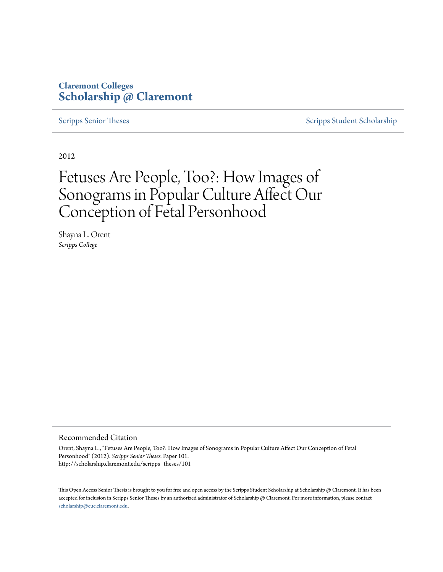### **Claremont Colleges [Scholarship @ Claremont](http://scholarship.claremont.edu)**

[Scripps Senior Theses](http://scholarship.claremont.edu/scripps_theses) [Scripps Student Scholarship](http://scholarship.claremont.edu/scripps_student)

2012

# Fetuses Are People, Too?: How Images of Sonograms in Popular Culture Affect Our Conception of Fetal Personhood

Shayna L. Orent *Scripps College*

#### Recommended Citation

Orent, Shayna L., "Fetuses Are People, Too?: How Images of Sonograms in Popular Culture Affect Our Conception of Fetal Personhood" (2012). *Scripps Senior Theses.* Paper 101. http://scholarship.claremont.edu/scripps\_theses/101

This Open Access Senior Thesis is brought to you for free and open access by the Scripps Student Scholarship at Scholarship @ Claremont. It has been accepted for inclusion in Scripps Senior Theses by an authorized administrator of Scholarship @ Claremont. For more information, please contact [scholarship@cuc.claremont.edu.](mailto:scholarship@cuc.claremont.edu)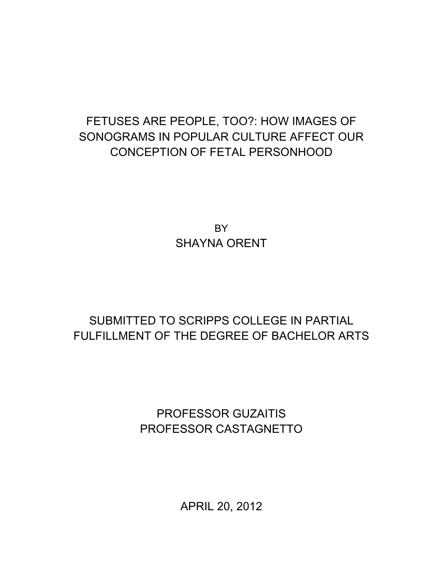# FETUSES ARE PEOPLE,
TOO?:
HOW IMAGES OF SONOGRAMS IN POPULAR CULTURE AFFECT OUR CONCEPTION OF FETAL PERSONHOOD

BY SHAYNA ORENT

## SUBMITTED TO SCRIPPS COLLEGE IN PARTIAL FULFILLMENT OF THE DEGREE OF BACHELOR ARTS

PROFESSOR GUZAITIS PROFESSOR CASTAGNETTO

APRIL
20,
2012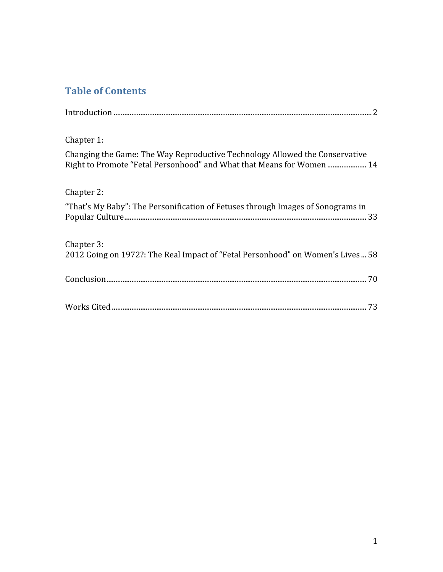### **Table of Contents**

| Chapter 1:                                                                                                                                           |
|------------------------------------------------------------------------------------------------------------------------------------------------------|
| Changing the Game: The Way Reproductive Technology Allowed the Conservative<br>Right to Promote "Fetal Personhood" and What that Means for Women  14 |
| Chapter 2:                                                                                                                                           |
| "That's My Baby": The Personification of Fetuses through Images of Sonograms in                                                                      |
| Chapter 3:                                                                                                                                           |
| 2012 Going on 1972?: The Real Impact of "Fetal Personhood" on Women's Lives  58                                                                      |
|                                                                                                                                                      |
|                                                                                                                                                      |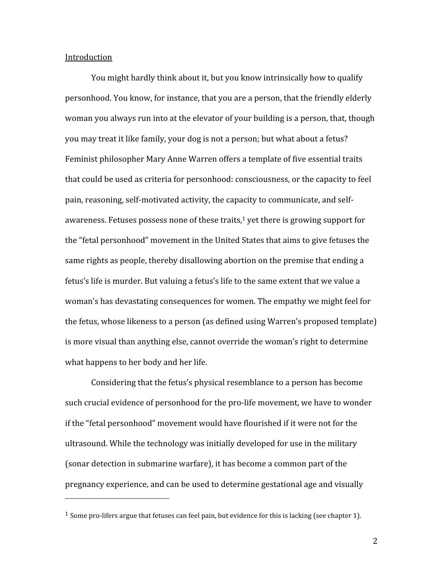#### Introduction

You might hardly think about it, but you know intrinsically how to qualify personhood. You know, for instance, that you are a person, that the friendly elderly woman you always run into at the elevator of your building is a person, that, though you may treat it like family, your dog is not a person; but what about a fetus? Feminist philosopher Mary Anne Warren offers a template of five essential traits that could be used as criteria for personhood: consciousness, or the capacity to feel pain, reasoning, self‐motivated activity, the capacity to communicate, and self‐ awareness. Fetuses possess none of these traits, $1$  yet there is growing support for the "fetal personhood" movement in the United States that aims to give fetuses the same rights as people, thereby disallowing abortion on the premise that ending a fetus's life is murder. But valuing a fetus's life to the same extent that we value a woman's has devastating consequences for women. The empathy we might feel for the fetus, whose likeness to a person (as defined using Warren's proposed template) is more visual than anything else, cannot override the woman's right to determine what happens to her body and her life.

Considering that the fetus's physical resemblance to a person has become such crucial evidence of personhood for the pro-life movement, we have to wonder if the "fetal personhood" movement would have flourished if it were not for the ultrasound. While the technology was initially developed for use in the military (sonar detection in submarine warfare), it has become a common part of the pregnancy experience, and can be used to determine gestational age and visually

<sup>&</sup>lt;sup>1</sup> Some pro-lifers argue that fetuses can feel pain, but evidence for this is lacking (see chapter 1).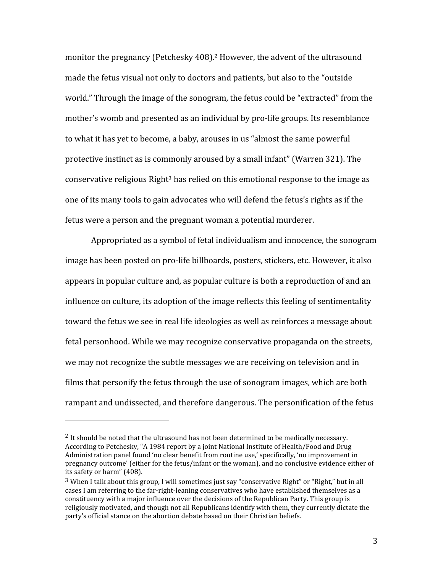monitor the pregnancy (Petchesky 408).2 However, the advent of the ultrasound made the fetus visual not only to doctors and patients, but also to the "outside world." Through the image of the sonogram, the fetus could be "extracted" from the mother's womb and presented as an individual by pro‐life groups. Its resemblance to what it has yet to become, a baby, arouses in us "almost the same powerful protective instinct as is commonly aroused by a small infant" (Warren 321). The conservative religious Right<sup>3</sup> has relied on this emotional response to the image as one of its many tools to gain advocates who will defend the fetus's rights as if the fetus were a person and the pregnant woman a potential murderer.

Appropriated as a symbol of fetal individualism and innocence, the sonogram image has been posted on pro‐life billboards, posters, stickers, etc. However, it also appears in popular culture and, as popular culture is both a reproduction of and an influence on culture, its adoption of the image reflects this feeling of sentimentality toward the fetus we see in real life ideologies as well as reinforces a message about fetal personhood. While we may recognize conservative propaganda on the streets, we may not recognize the subtle messages we are receiving on television and in films that personify the fetus through the use of sonogram images, which are both rampant and undissected, and therefore dangerous. The personification of the fetus

 $<sup>2</sup>$  It should be noted that the ultrasound has not been determined to be medically necessary.</sup> According to Petchesky, "A 1984 report by a joint National Institute of Health/Food and Drug Administration panel found 'no clear benefit from routine use,' specifically, 'no improvement in pregnancy outcome' (either for the fetus/infant or the woman), and no conclusive evidence either of its safety or harm" (408).

<sup>3</sup> When I talk about this group, I will sometimes just say "conservative Right" or "Right," but in all cases I am referring to the far‐right‐leaning conservatives who have established themselves as a constituency with a major influence over the decisions of the Republican Party. This group is religiously motivated, and though not all Republicans identify with them, they currently dictate the party's official stance on the abortion debate based on their Christian beliefs.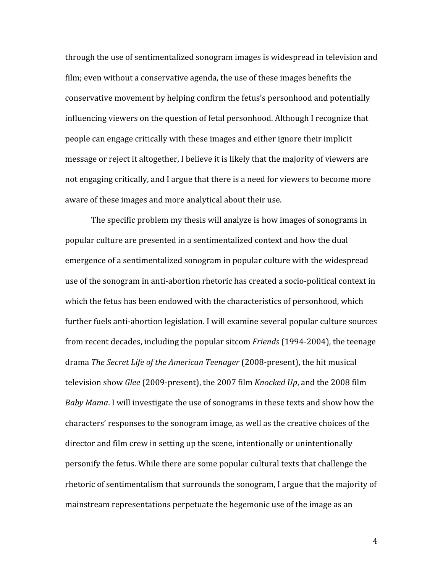through the use of sentimentalized sonogram images is widespread in television and film; even without a conservative agenda, the use of these images benefits the conservative movement by helping confirm the fetus's personhood and potentially influencing viewers on the question of fetal personhood. Although I recognize that people can engage critically with these images and either ignore their implicit message or reject it altogether, I believe it is likely that the majority of viewers are not engaging critically, and I argue that there is a need for viewers to become more aware of these images and more analytical about their use.

The specific problem my thesis will analyze is how images of sonograms in popular culture are presented in a sentimentalized context and how the dual emergence of a sentimentalized sonogram in popular culture with the widespread use of the sonogram in anti‐abortion rhetoric has created a socio‐political context in which the fetus has been endowed with the characteristics of personhood, which further fuels anti‐abortion legislation. I will examine several popular culture sources from recent decades, including the popular sitcom *Friends* (1994‐2004), the teenage drama *The Secret Life of the American Teenager* (2008‐present), the hit musical television show *Glee* (2009‐present), the 2007 film *Knocked Up*, and the 2008 film *Baby Mama*. I will investigate the use of sonograms in these texts and show how the characters' responses to the sonogram image, as well as the creative choices of the director and film crew in setting up the scene, intentionally or unintentionally personify the fetus. While there are some popular cultural texts that challenge the rhetoric of sentimentalism that surrounds the sonogram, I argue that the majority of mainstream representations perpetuate the hegemonic use of the image as an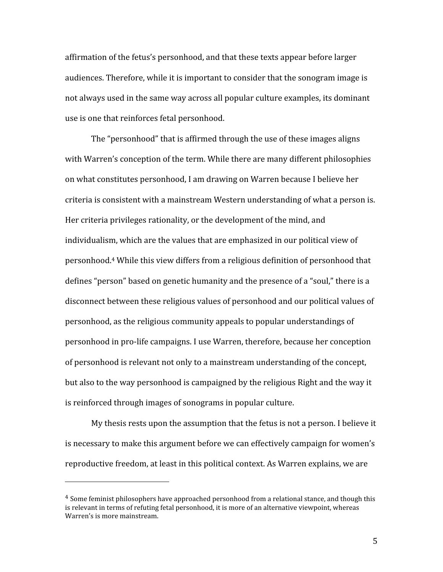affirmation of the fetus's personhood, and that these texts appear before larger audiences. Therefore, while it is important to consider that the sonogram image is not always used in the same way across all popular culture examples, its dominant use is one that reinforces fetal personhood.

The "personhood" that is affirmed through the use of these images aligns with Warren's conception of the term. While there are many different philosophies on what constitutes personhood, I am drawing on Warren because I believe her criteria is consistent with a mainstream Western understanding of what a person is. Her criteria privileges rationality, or the development of the mind, and individualism, which are the values that are emphasized in our political view of personhood.4 While this view differs from a religious definition of personhood that defines "person" based on genetic humanity and the presence of a "soul," there is a disconnect between these religious values of personhood and our political values of personhood, as the religious community appeals to popular understandings of personhood in pro‐life campaigns. I use Warren, therefore, because her conception of personhood is relevant not only to a mainstream understanding of the concept, but also to the way personhood is campaigned by the religious Right and the way it is reinforced through images of sonograms in popular culture.

My thesis rests upon the assumption that the fetus is not a person. I believe it is necessary to make this argument before we can effectively campaign for women's reproductive freedom, at least in this political context. As Warren explains, we are

<sup>&</sup>lt;sup>4</sup> Some feminist philosophers have approached personhood from a relational stance, and though this is relevant in terms of refuting fetal personhood, it is more of an alternative viewpoint, whereas Warren's is more mainstream.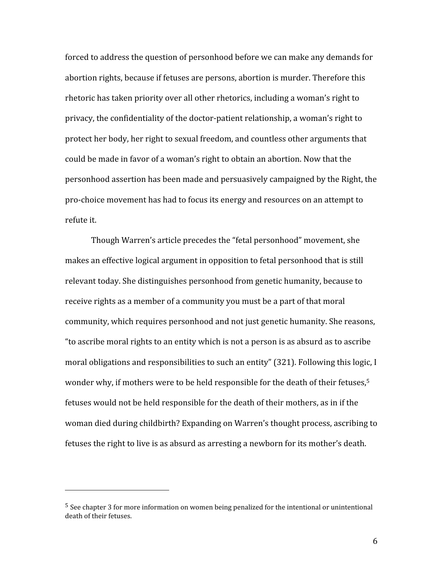forced to address the question of personhood before we can make any demands for abortion rights, because if fetuses are persons, abortion is murder. Therefore this rhetoric has taken priority over all other rhetorics, including a woman's right to privacy, the confidentiality of the doctor‐patient relationship, a woman's right to protect her body, her right to sexual freedom, and countless other arguments that could be made in favor of a woman's right to obtain an abortion. Now that the personhood assertion has been made and persuasively campaigned by the Right, the pro‐choice movement has had to focus its energy and resources on an attempt to refute it.

Though Warren's article precedes the "fetal personhood" movement, she makes an effective logical argument in opposition to fetal personhood that is still relevant today. She distinguishes personhood from genetic humanity, because to receive rights as a member of a community you must be a part of that moral community, which requires personhood and not just genetic humanity. She reasons, "to ascribe moral rights to an entity which is not a person is as absurd as to ascribe moral obligations and responsibilities to such an entity" (321). Following this logic, I wonder why, if mothers were to be held responsible for the death of their fetuses.<sup>5</sup> fetuses would not be held responsible for the death of their mothers, as in if the woman died during childbirth? Expanding on Warren's thought process, ascribing to fetuses the right to live is as absurd as arresting a newborn for its mother's death.

<sup>&</sup>lt;sup>5</sup> See chapter 3 for more information on women being penalized for the intentional or unintentional death of their fetuses.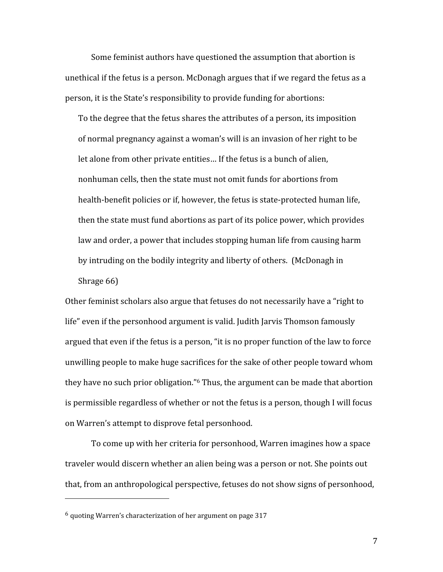Some feminist authors have questioned the assumption that abortion is unethical if the fetus is a person. McDonagh argues that if we regard the fetus as a person, it is the State's responsibility to provide funding for abortions:

To the degree that the fetus shares the attributes of a person, its imposition of normal pregnancy against a woman's will is an invasion of her right to be let alone from other private entities… If the fetus is a bunch of alien, nonhuman cells, then the state must not omit funds for abortions from health-benefit policies or if, however, the fetus is state-protected human life, then the state must fund abortions as part of its police power, which provides law and order, a power that includes stopping human life from causing harm by intruding on the bodily integrity and liberty of others. (McDonagh in Shrage 66)

Other feminist scholars also argue that fetuses do not necessarily have a "right to life" even if the personhood argument is valid. Judith Jarvis Thomson famously argued that even if the fetus is a person, "it is no proper function of the law to force unwilling people to make huge sacrifices for the sake of other people toward whom they have no such prior obligation."6 Thus, the argument can be made that abortion is permissible regardless of whether or not the fetus is a person, though I will focus on Warren's attempt to disprove fetal personhood.

To come up with her criteria for personhood, Warren imagines how a space traveler would discern whether an alien being was a person or not. She points out that, from an anthropological perspective, fetuses do not show signs of personhood,

 $6$  quoting Warren's characterization of her argument on page 317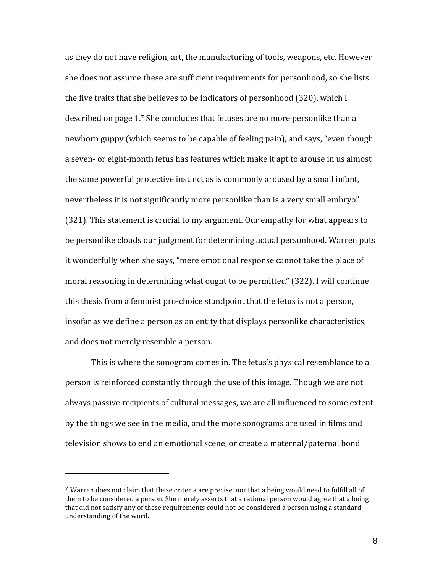as they do not have religion, art, the manufacturing of tools, weapons, etc. However she does not assume these are sufficient requirements for personhood, so she lists the five traits that she believes to be indicators of personhood (320), which I described on page 1.7 She concludes that fetuses are no more personlike than a newborn guppy (which seems to be capable of feeling pain), and says, "even though a seven‐ or eight‐month fetus has features which make it apt to arouse in us almost the same powerful protective instinct as is commonly aroused by a small infant, nevertheless it is not significantly more personlike than is a very small embryo" (321). This statement is crucial to my argument. Our empathy for what appears to be personlike clouds our judgment for determining actual personhood. Warren puts it wonderfully when she says, "mere emotional response cannot take the place of moral reasoning in determining what ought to be permitted" (322). I will continue this thesis from a feminist pro‐choice standpoint that the fetus is not a person, insofar as we define a person as an entity that displays personlike characteristics, and does not merely resemble a person.

This is where the sonogram comes in. The fetus's physical resemblance to a person is reinforced constantly through the use of this image. Though we are not always passive recipients of cultural messages, we are all influenced to some extent by the things we see in the media, and the more sonograms are used in films and television shows to end an emotional scene, or create a maternal/paternal bond

<sup>7</sup> Warren does not claim that these criteria are precise, nor that a being would need to fulfill all of them to be considered a person. She merely asserts that a rational person would agree that a being that did not satisfy any of these requirements could not be considered a person using a standard understanding of the word.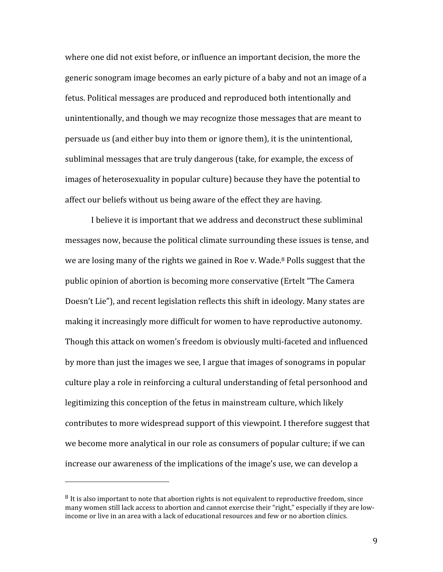where one did not exist before, or influence an important decision, the more the generic sonogram image becomes an early picture of a baby and not an image of a fetus. Political messages are produced and reproduced both intentionally and unintentionally, and though we may recognize those messages that are meant to persuade us (and either buy into them or ignore them), it is the unintentional, subliminal messages that are truly dangerous (take, for example, the excess of images of heterosexuality in popular culture) because they have the potential to affect our beliefs without us being aware of the effect they are having.

I believe it is important that we address and deconstruct these subliminal messages now, because the political climate surrounding these issues is tense, and we are losing many of the rights we gained in Roe v. Wade.<sup>8</sup> Polls suggest that the public opinion of abortion is becoming more conservative (Ertelt "The Camera Doesn't Lie"), and recent legislation reflects this shift in ideology. Many states are making it increasingly more difficult for women to have reproductive autonomy. Though this attack on women's freedom is obviously multi‐faceted and influenced by more than just the images we see, I argue that images of sonograms in popular culture play a role in reinforcing a cultural understanding of fetal personhood and legitimizing this conception of the fetus in mainstream culture, which likely contributes to more widespread support of this viewpoint. I therefore suggest that we become more analytical in our role as consumers of popular culture; if we can increase our awareness of the implications of the image's use, we can develop a

 $8$  It is also important to note that abortion rights is not equivalent to reproductive freedom, since many women still lack access to abortion and cannot exercise their "right," especially if they are low‐ income or live in an area with a lack of educational resources and few or no abortion clinics.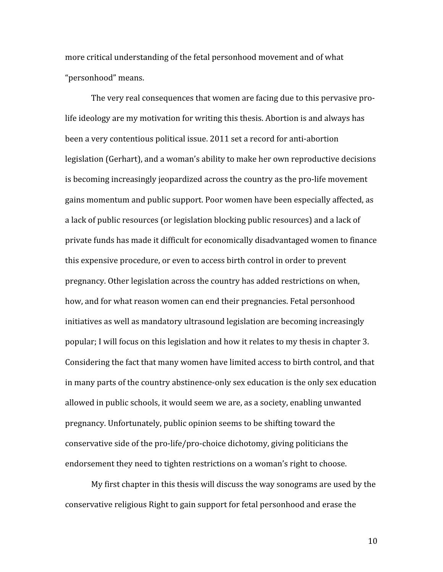more critical understanding of the fetal personhood movement and of what "personhood" means.

The very real consequences that women are facing due to this pervasive pro‐ life ideology are my motivation for writing this thesis. Abortion is and always has been a very contentious political issue. 2011 set a record for anti-abortion legislation (Gerhart), and a woman's ability to make her own reproductive decisions is becoming increasingly jeopardized across the country as the pro‐life movement gains momentum and public support. Poor women have been especially affected, as a lack of public resources (or legislation blocking public resources) and a lack of private funds has made it difficult for economically disadvantaged women to finance this expensive procedure, or even to access birth control in order to prevent pregnancy. Other legislation across the country has added restrictions on when, how, and for what reason women can end their pregnancies. Fetal personhood initiatives as well as mandatory ultrasound legislation are becoming increasingly popular; I will focus on this legislation and how it relates to my thesis in chapter 3. Considering the fact that many women have limited access to birth control, and that in many parts of the country abstinence‐only sex education is the only sex education allowed in public schools, it would seem we are, as a society, enabling unwanted pregnancy. Unfortunately, public opinion seems to be shifting toward the conservative side of the pro‐life/pro‐choice dichotomy, giving politicians the endorsement they need to tighten restrictions on a woman's right to choose.

My first chapter in this thesis will discuss the way sonograms are used by the conservative religious Right to gain support for fetal personhood and erase the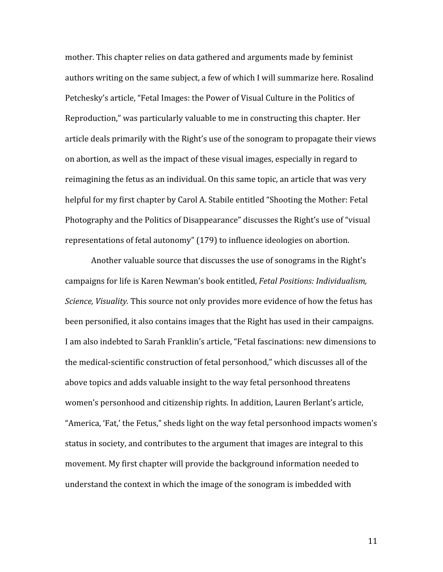mother. This chapter relies on data gathered and arguments made by feminist authors writing on the same subject, a few of which I will summarize here. Rosalind Petchesky's article, "Fetal Images: the Power of Visual Culture in the Politics of Reproduction," was particularly valuable to me in constructing this chapter. Her article deals primarily with the Right's use of the sonogram to propagate their views on abortion, as well as the impact of these visual images, especially in regard to reimagining the fetus as an individual. On this same topic, an article that was very helpful for my first chapter by Carol A. Stabile entitled "Shooting the Mother: Fetal Photography and the Politics of Disappearance" discusses the Right's use of "visual representations of fetal autonomy" (179) to influence ideologies on abortion.

Another valuable source that discusses the use of sonograms in the Right's campaigns for life is Karen Newman's book entitled, *Fetal Positions: Individualism, Science, Visuality.* This source not only provides more evidence of how the fetus has been personified, it also contains images that the Right has used in their campaigns. I am also indebted to Sarah Franklin's article, "Fetal fascinations: new dimensions to the medical‐scientific construction of fetal personhood," which discusses all of the above topics and adds valuable insight to the way fetal personhood threatens women's personhood and citizenship rights. In addition, Lauren Berlant's article, "America, 'Fat,' the Fetus," sheds light on the way fetal personhood impacts women's status in society, and contributes to the argument that images are integral to this movement. My first chapter will provide the background information needed to understand the context in which the image of the sonogram is imbedded with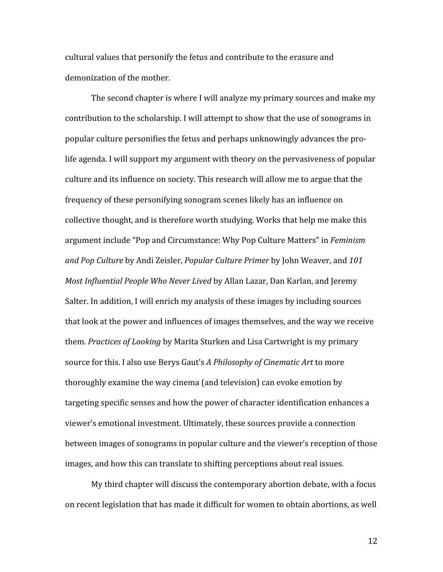cultural values that personify the fetus and contribute to the erasure and demonization of the mother.

The second chapter is where I will analyze my primary sources and make my contribution to the scholarship. I will attempt to show that the use of sonograms in popular culture personifies the fetus and perhaps unknowingly advances the pro‐ life agenda. I will support my argument with theory on the pervasiveness of popular culture and its influence on society. This research will allow me to argue that the frequency of these personifying sonogram scenes likely has an influence on collective thought, and is therefore worth studying. Works that help me make this argument include "Pop and Circumstance: Why Pop Culture Matters" in *Feminism and Pop Culture* by Andi Zeisler, *Popular Culture Primer* by John Weaver, and *101 Most Influential People Who Never Lived* by Allan Lazar, Dan Karlan, and Jeremy Salter. In addition, I will enrich my analysis of these images by including sources that look at the power and influences of images themselves, and the way we receive them. *Practices of Looking* by Marita Sturken and Lisa Cartwright is my primary source for this. I also use Berys Gaut's *A Philosophy of Cinematic Art* to more thoroughly examine the way cinema (and television) can evoke emotion by targeting specific senses and how the power of character identification enhances a viewer's emotional investment. Ultimately, these sources provide a connection between images of sonograms in popular culture and the viewer's reception of those images, and how this can translate to shifting perceptions about real issues.

My third chapter will discuss the contemporary abortion debate, with a focus on recent legislation that has made it difficult for women to obtain abortions, as well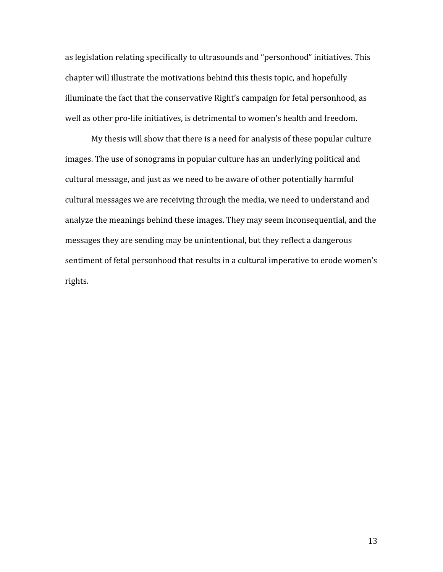as legislation relating specifically to ultrasounds and "personhood" initiatives. This chapter will illustrate the motivations behind this thesis topic, and hopefully illuminate the fact that the conservative Right's campaign for fetal personhood, as well as other pro-life initiatives, is detrimental to women's health and freedom.

My thesis will show that there is a need for analysis of these popular culture images. The use of sonograms in popular culture has an underlying political and cultural message, and just as we need to be aware of other potentially harmful cultural messages we are receiving through the media, we need to understand and analyze the meanings behind these images. They may seem inconsequential, and the messages they are sending may be unintentional, but they reflect a dangerous sentiment of fetal personhood that results in a cultural imperative to erode women's rights.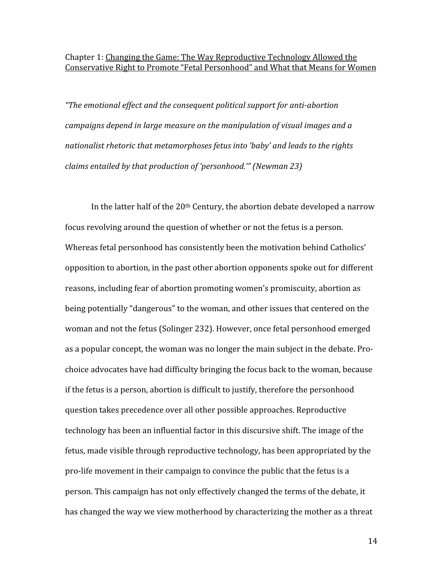Chapter 1: Changing the Game: The Way Reproductive Technology Allowed the Conservative Right to Promote "Fetal Personhood" and What that Means for Women

*"The emotional effect and the consequent political support for anti-abortion campaigns depend in large measure on the manipulation of visual images and a nationalist rhetoric that metamorphoses fetus into 'baby' and leads to the rights claims entailed by that production of 'personhood.'" (Newman 23)*

In the latter half of the 20th Century, the abortion debate developed a narrow focus revolving around the question of whether or not the fetus is a person. Whereas fetal personhood has consistently been the motivation behind Catholics' opposition to abortion, in the past other abortion opponents spoke out for different reasons, including fear of abortion promoting women's promiscuity, abortion as being potentially "dangerous" to the woman, and other issues that centered on the woman and not the fetus (Solinger 232). However, once fetal personhood emerged as a popular concept, the woman was no longer the main subject in the debate. Pro‐ choice advocates have had difficulty bringing the focus back to the woman, because if the fetus is a person, abortion is difficult to justify, therefore the personhood question takes precedence over all other possible approaches. Reproductive technology has been an influential factor in this discursive shift. The image of the fetus, made visible through reproductive technology, has been appropriated by the pro‐life movement in their campaign to convince the public that the fetus is a person. This campaign has not only effectively changed the terms of the debate, it has changed the way we view motherhood by characterizing the mother as a threat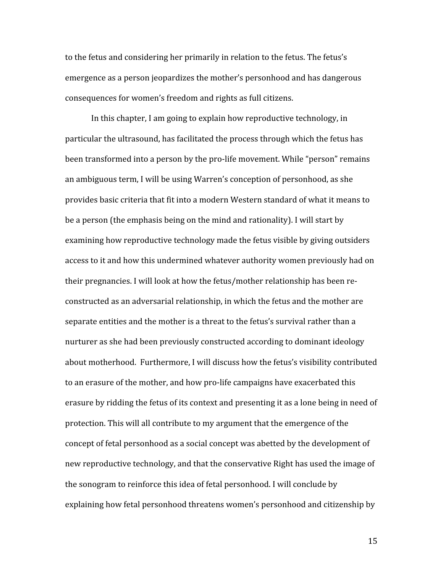to the fetus and considering her primarily in relation to the fetus. The fetus's emergence as a person jeopardizes the mother's personhood and has dangerous consequences for women's freedom and rights as full citizens.

In this chapter, I am going to explain how reproductive technology, in particular the ultrasound, has facilitated the process through which the fetus has been transformed into a person by the pro-life movement. While "person" remains an ambiguous term, I will be using Warren's conception of personhood, as she provides basic criteria that fit into a modern Western standard of what it means to be a person (the emphasis being on the mind and rationality). I will start by examining how reproductive technology made the fetus visible by giving outsiders access to it and how this undermined whatever authority women previously had on their pregnancies. I will look at how the fetus/mother relationship has been re‐ constructed as an adversarial relationship, in which the fetus and the mother are separate entities and the mother is a threat to the fetus's survival rather than a nurturer as she had been previously constructed according to dominant ideology about motherhood. Furthermore, I will discuss how the fetus's visibility contributed to an erasure of the mother, and how pro‐life campaigns have exacerbated this erasure by ridding the fetus of its context and presenting it as a lone being in need of protection. This will all contribute to my argument that the emergence of the concept of fetal personhood as a social concept was abetted by the development of new reproductive technology, and that the conservative Right has used the image of the sonogram to reinforce this idea of fetal personhood. I will conclude by explaining how fetal personhood threatens women's personhood and citizenship by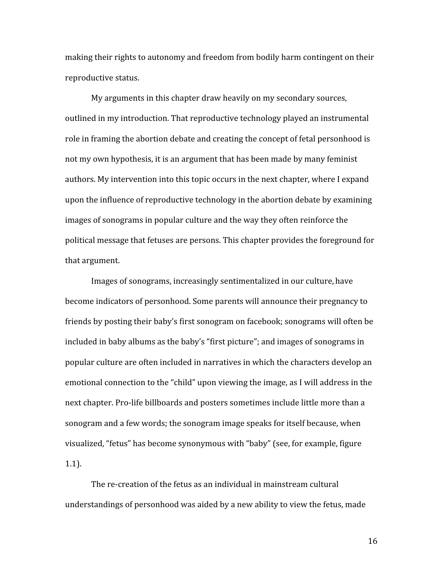making their rights to autonomy and freedom from bodily harm contingent on their reproductive status.

My arguments in this chapter draw heavily on my secondary sources, outlined in my introduction. That reproductive technology played an instrumental role in framing the abortion debate and creating the concept of fetal personhood is not my own hypothesis, it is an argument that has been made by many feminist authors. My intervention into this topic occurs in the next chapter, where I expand upon the influence of reproductive technology in the abortion debate by examining images of sonograms in popular culture and the way they often reinforce the political message that fetuses are persons. This chapter provides the foreground for that argument.

Images of sonograms, increasingly sentimentalized in our culture, have become indicators of personhood. Some parents will announce their pregnancy to friends by posting their baby's first sonogram on facebook; sonograms will often be included in baby albums as the baby's "first picture"; and images of sonograms in popular culture are often included in narratives in which the characters develop an emotional connection to the "child" upon viewing the image, as I will address in the next chapter. Pro‐life billboards and posters sometimes include little more than a sonogram and a few words; the sonogram image speaks for itself because, when visualized, "fetus" has become synonymous with "baby" (see, for example, figure 1.1).

The re-creation of the fetus as an individual in mainstream cultural understandings of personhood was aided by a new ability to view the fetus, made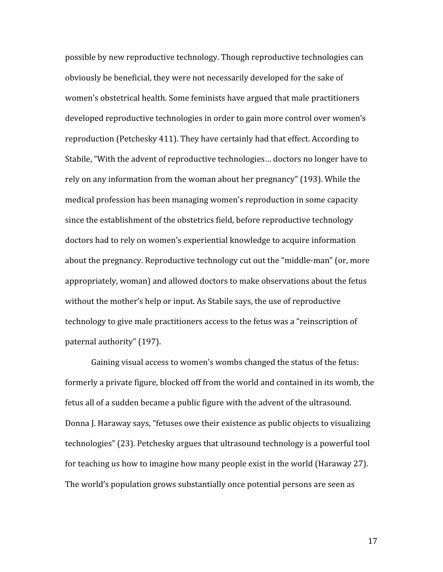possible by new reproductive technology. Though reproductive technologies can obviously be beneficial, they were not necessarily developed for the sake of women's obstetrical health. Some feminists have argued that male practitioners developed reproductive technologies in order to gain more control over women's reproduction (Petchesky 411). They have certainly had that effect. According to Stabile, "With the advent of reproductive technologies… doctors no longer have to rely on any information from the woman about her pregnancy" (193). While the medical profession has been managing women's reproduction in some capacity since the establishment of the obstetrics field, before reproductive technology doctors had to rely on women's experiential knowledge to acquire information about the pregnancy. Reproductive technology cut out the "middle‐man" (or, more appropriately, woman) and allowed doctors to make observations about the fetus without the mother's help or input. As Stabile says, the use of reproductive technology to give male practitioners access to the fetus was a "reinscription of paternal authority" (197).

Gaining visual access to women's wombs changed the status of the fetus: formerly a private figure, blocked off from the world and contained in its womb, the fetus all of a sudden became a public figure with the advent of the ultrasound. Donna J. Haraway says, "fetuses owe their existence as public objects to visualizing technologies" (23). Petchesky argues that ultrasound technology is a powerful tool for teaching us how to imagine how many people exist in the world (Haraway 27). The world's population grows substantially once potential persons are seen as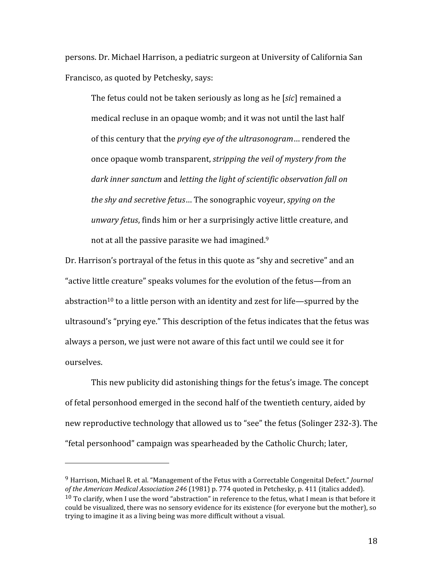persons. Dr. Michael Harrison, a pediatric surgeon at University of California San Francisco, as quoted by Petchesky, says:

The fetus could not be taken seriously as long as he [*sic*] remained a medical recluse in an opaque womb; and it was not until the last half of this century that the *prying eye of the ultrasonogram*… rendered the once opaque womb transparent, *stripping the veil of mystery from the dark inner sanctum* and *letting the light of scientific observation fall on the shy and secretive fetus*… The sonographic voyeur, *spying on the unwary fetus*, finds him or her a surprisingly active little creature, and not at all the passive parasite we had imagined.<sup>9</sup>

Dr. Harrison's portrayal of the fetus in this quote as "shy and secretive" and an "active little creature" speaks volumes for the evolution of the fetus—from an abstraction<sup>10</sup> to a little person with an identity and zest for life—spurred by the ultrasound's "prying eye." This description of the fetus indicates that the fetus was always a person, we just were not aware of this fact until we could see it for ourselves.

This new publicity did astonishing things for the fetus's image. The concept of fetal personhood emerged in the second half of the twentieth century, aided by new reproductive technology that allowed us to "see" the fetus (Solinger 232‐3). The "fetal personhood" campaign was spearheaded by the Catholic Church; later,

<sup>9</sup> Harrison, Michael R. et al. "Management of the Fetus with a Correctable Congenital Defect." *Journal of the American Medical Association 246* (1981) p. 774 quoted in Petchesky, p. 411 (italics added). <sup>10</sup> To clarify, when I use the word "abstraction" in reference to the fetus, what I mean is that before it could be visualized, there was no sensory evidence for its existence (for everyone but the mother), so trying to imagine it as a living being was more difficult without a visual.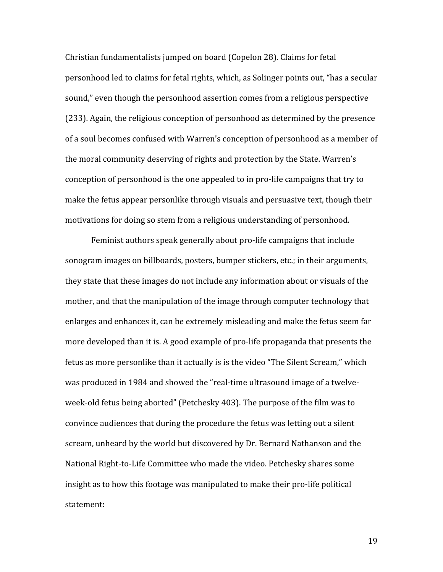Christian fundamentalists jumped on board (Copelon 28). Claims for fetal personhood led to claims for fetal rights, which, as Solinger points out, "has a secular sound," even though the personhood assertion comes from a religious perspective (233). Again, the religious conception of personhood as determined by the presence of a soul becomes confused with Warren's conception of personhood as a member of the moral community deserving of rights and protection by the State. Warren's conception of personhood is the one appealed to in pro‐life campaigns that try to make the fetus appear personlike through visuals and persuasive text, though their motivations for doing so stem from a religious understanding of personhood.

Feminist authors speak generally about pro‐life campaigns that include sonogram images on billboards, posters, bumper stickers, etc.; in their arguments, they state that these images do not include any information about or visuals of the mother, and that the manipulation of the image through computer technology that enlarges and enhances it, can be extremely misleading and make the fetus seem far more developed than it is. A good example of pro-life propaganda that presents the fetus as more personlike than it actually is is the video "The Silent Scream," which was produced in 1984 and showed the "real-time ultrasound image of a twelveweek‐old fetus being aborted" (Petchesky 403). The purpose of the film was to convince audiences that during the procedure the fetus was letting out a silent scream, unheard by the world but discovered by Dr. Bernard Nathanson and the National Right‐to‐Life Committee who made the video. Petchesky shares some insight as to how this footage was manipulated to make their pro‐life political statement: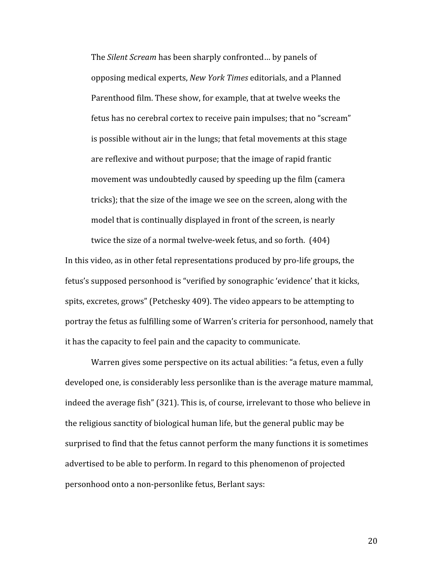The *Silent Scream* has been sharply confronted… by panels of opposing medical experts, *New York Times* editorials, and a Planned Parenthood film. These show, for example, that at twelve weeks the fetus has no cerebral cortex to receive pain impulses; that no "scream" is possible without air in the lungs; that fetal movements at this stage are reflexive and without purpose; that the image of rapid frantic movement was undoubtedly caused by speeding up the film (camera tricks); that the size of the image we see on the screen, along with the model that is continually displayed in front of the screen, is nearly

twice the size of a normal twelve-week fetus, and so forth. (404) In this video, as in other fetal representations produced by pro-life groups, the fetus's supposed personhood is "verified by sonographic 'evidence' that it kicks, spits, excretes, grows" (Petchesky 409). The video appears to be attempting to portray the fetus as fulfilling some of Warren's criteria for personhood, namely that it has the capacity to feel pain and the capacity to communicate.

Warren gives some perspective on its actual abilities: "a fetus, even a fully developed one, is considerably less personlike than is the average mature mammal, indeed the average fish" (321). This is, of course, irrelevant to those who believe in the religious sanctity of biological human life, but the general public may be surprised to find that the fetus cannot perform the many functions it is sometimes advertised to be able to perform. In regard to this phenomenon of projected personhood onto a non‐personlike fetus, Berlant says: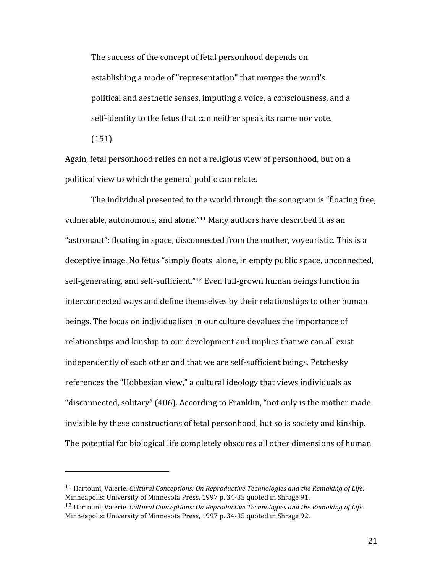The success of the concept of fetal personhood depends on establishing a mode of "representation" that merges the word's political and aesthetic senses, imputing a voice, a consciousness, and a self-identity to the fetus that can neither speak its name nor vote.

(151)

Again, fetal personhood relies on not a religious view of personhood, but on a political view to which the general public can relate.

The individual presented to the world through the sonogram is "floating free, vulnerable, autonomous, and alone."11 Many authors have described it as an "astronaut": floating in space, disconnected from the mother, voyeuristic. This is a deceptive image. No fetus "simply floats, alone, in empty public space, unconnected, self-generating, and self-sufficient."<sup>12</sup> Even full-grown human beings function in interconnected ways and define themselves by their relationships to other human beings. The focus on individualism in our culture devalues the importance of relationships and kinship to our development and implies that we can all exist independently of each other and that we are self‐sufficient beings. Petchesky references the "Hobbesian view," a cultural ideology that views individuals as "disconnected, solitary" (406). According to Franklin, "not only is the mother made invisible by these constructions of fetal personhood, but so is society and kinship. The potential for biological life completely obscures all other dimensions of human

<sup>11</sup> Hartouni, Valerie. *Cultural Conceptions: On Reproductive Technologies and the Remaking of Life*. Minneapolis: University of Minnesota Press, 1997 p. 34‐35 quoted in Shrage 91.

<sup>12</sup> Hartouni, Valerie. *Cultural Conceptions: On Reproductive Technologies and the Remaking of Life*. Minneapolis: University of Minnesota Press, 1997 p. 34‐35 quoted in Shrage 92.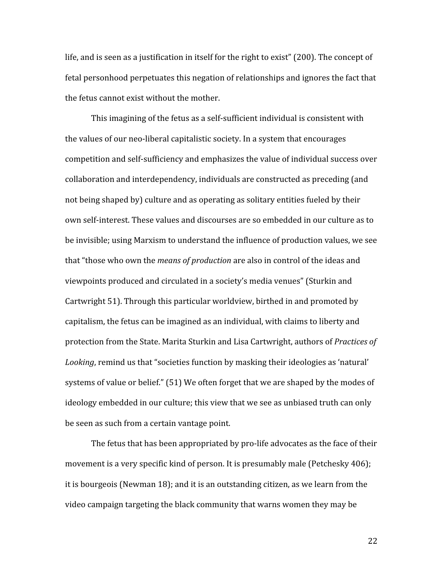life, and is seen as a justification in itself for the right to exist" (200). The concept of fetal personhood perpetuates this negation of relationships and ignores the fact that the fetus cannot exist without the mother.

This imagining of the fetus as a self‐sufficient individual is consistent with the values of our neo‐liberal capitalistic society. In a system that encourages competition and self‐sufficiency and emphasizes the value of individual success over collaboration and interdependency, individuals are constructed as preceding (and not being shaped by) culture and as operating as solitary entities fueled by their own self‐interest. These values and discourses are so embedded in our culture as to be invisible; using Marxism to understand the influence of production values, we see that "those who own the *means of production* are also in control of the ideas and viewpoints produced and circulated in a society's media venues" (Sturkin and Cartwright 51). Through this particular worldview, birthed in and promoted by capitalism, the fetus can be imagined as an individual, with claims to liberty and protection from the State. Marita Sturkin and Lisa Cartwright, authors of *Practices of Looking*, remind us that "societies function by masking their ideologies as 'natural' systems of value or belief." (51) We often forget that we are shaped by the modes of ideology embedded in our culture; this view that we see as unbiased truth can only be seen as such from a certain vantage point.

The fetus that has been appropriated by pro‐life advocates as the face of their movement is a very specific kind of person. It is presumably male (Petchesky 406); it is bourgeois (Newman 18); and it is an outstanding citizen, as we learn from the video campaign targeting the black community that warns women they may be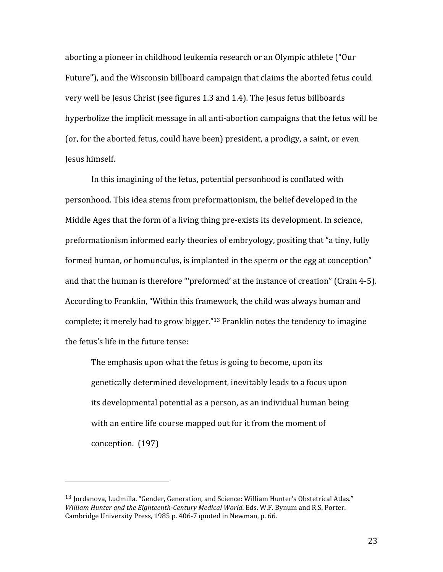aborting a pioneer in childhood leukemia research or an Olympic athlete ("Our Future"), and the Wisconsin billboard campaign that claims the aborted fetus could very well be Jesus Christ (see figures 1.3 and 1.4). The Jesus fetus billboards hyperbolize the implicit message in all anti‐abortion campaigns that the fetus will be (or, for the aborted fetus, could have been) president, a prodigy, a saint, or even Jesus himself.

In this imagining of the fetus, potential personhood is conflated with personhood. This idea stems from preformationism, the belief developed in the Middle Ages that the form of a living thing pre‐exists its development. In science, preformationism informed early theories of embryology, positing that "a tiny, fully formed human, or homunculus, is implanted in the sperm or the egg at conception" and that the human is therefore "'preformed' at the instance of creation" (Crain 4‐5). According to Franklin, "Within this framework, the child was always human and complete; it merely had to grow bigger."13 Franklin notes the tendency to imagine the fetus's life in the future tense:

The emphasis upon what the fetus is going to become, upon its genetically determined development, inevitably leads to a focus upon its developmental potential as a person, as an individual human being with an entire life course mapped out for it from the moment of conception. (197)

<sup>13</sup> Jordanova, Ludmilla. "Gender, Generation, and Science: William Hunter's Obstetrical Atlas." *William Hunter and the Eighteenth-Century Medical World*. Eds. W.F. Bynum and R.S. Porter. Cambridge University Press, 1985 p. 406‐7 quoted in Newman, p. 66.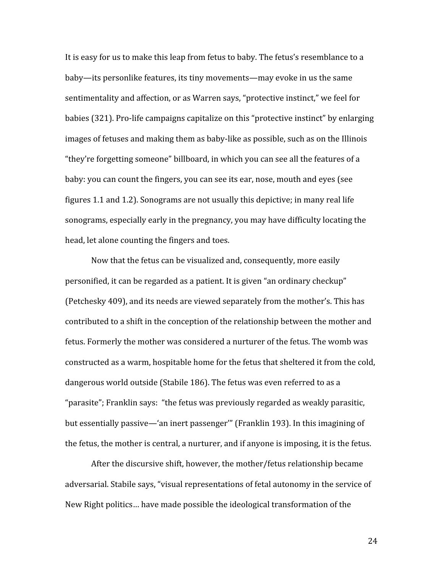It is easy for us to make this leap from fetus to baby. The fetus's resemblance to a baby—its personlike features, its tiny movements—may evoke in us the same sentimentality and affection, or as Warren says, "protective instinct," we feel for babies (321). Pro‐life campaigns capitalize on this "protective instinct" by enlarging images of fetuses and making them as baby‐like as possible, such as on the Illinois "they're forgetting someone" billboard, in which you can see all the features of a baby: you can count the fingers, you can see its ear, nose, mouth and eyes (see figures 1.1 and 1.2). Sonograms are not usually this depictive; in many real life sonograms, especially early in the pregnancy, you may have difficulty locating the head, let alone counting the fingers and toes.

Now that the fetus can be visualized and, consequently, more easily personified, it can be regarded as a patient. It is given "an ordinary checkup" (Petchesky 409), and its needs are viewed separately from the mother's. This has contributed to a shift in the conception of the relationship between the mother and fetus. Formerly the mother was considered a nurturer of the fetus. The womb was constructed as a warm, hospitable home for the fetus that sheltered it from the cold, dangerous world outside (Stabile 186). The fetus was even referred to as a "parasite"; Franklin says: "the fetus was previously regarded as weakly parasitic, but essentially passive—'an inert passenger'" (Franklin 193). In this imagining of the fetus, the mother is central, a nurturer, and if anyone is imposing, it is the fetus.

After the discursive shift, however, the mother/fetus relationship became adversarial. Stabile says, "visual representations of fetal autonomy in the service of New Right politics… have made possible the ideological transformation of the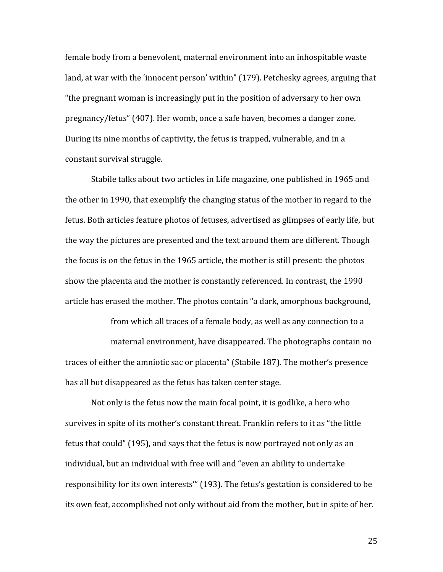female body from a benevolent, maternal environment into an inhospitable waste land, at war with the 'innocent person' within" (179). Petchesky agrees, arguing that "the pregnant woman is increasingly put in the position of adversary to her own pregnancy/fetus" (407). Her womb, once a safe haven, becomes a danger zone. During its nine months of captivity, the fetus is trapped, vulnerable, and in a constant survival struggle.

Stabile talks about two articles in Life magazine, one published in 1965 and the other in 1990, that exemplify the changing status of the mother in regard to the fetus. Both articles feature photos of fetuses, advertised as glimpses of early life, but the way the pictures are presented and the text around them are different. Though the focus is on the fetus in the 1965 article, the mother is still present: the photos show the placenta and the mother is constantly referenced. In contrast, the 1990 article has erased the mother. The photos contain "a dark, amorphous background,

from which all traces of a female body, as well as any connection to a maternal environment, have disappeared. The photographs contain no traces of either the amniotic sac or placenta" (Stabile 187). The mother's presence has all but disappeared as the fetus has taken center stage.

Not only is the fetus now the main focal point, it is godlike, a hero who survives in spite of its mother's constant threat. Franklin refers to it as "the little fetus that could" (195), and says that the fetus is now portrayed not only as an individual, but an individual with free will and "even an ability to undertake responsibility for its own interests'" (193). The fetus's gestation is considered to be its own feat, accomplished not only without aid from the mother, but in spite of her.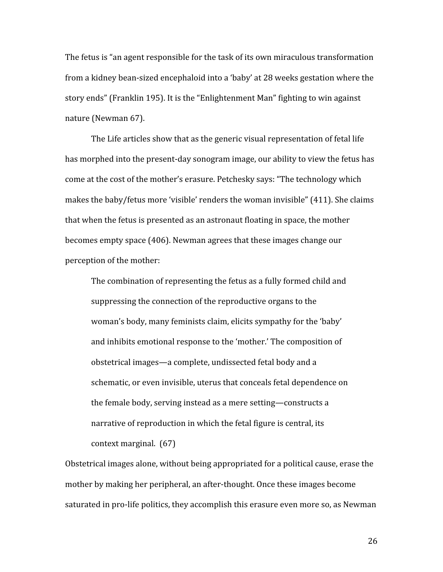The fetus is "an agent responsible for the task of its own miraculous transformation from a kidney bean‐sized encephaloid into a 'baby' at 28 weeks gestation where the story ends" (Franklin 195). It is the "Enlightenment Man" fighting to win against nature (Newman 67).

The Life articles show that as the generic visual representation of fetal life has morphed into the present‐day sonogram image, our ability to view the fetus has come at the cost of the mother's erasure. Petchesky says: "The technology which makes the baby/fetus more 'visible' renders the woman invisible" (411). She claims that when the fetus is presented as an astronaut floating in space, the mother becomes empty space (406). Newman agrees that these images change our perception of the mother:

The combination of representing the fetus as a fully formed child and suppressing the connection of the reproductive organs to the woman's body, many feminists claim, elicits sympathy for the 'baby' and inhibits emotional response to the 'mother.' The composition of obstetrical images—a complete, undissected fetal body and a schematic, or even invisible, uterus that conceals fetal dependence on the female body, serving instead as a mere setting—constructs a narrative of reproduction in which the fetal figure is central, its context marginal. (67)

Obstetrical images alone, without being appropriated for a political cause, erase the mother by making her peripheral, an after‐thought. Once these images become saturated in pro-life politics, they accomplish this erasure even more so, as Newman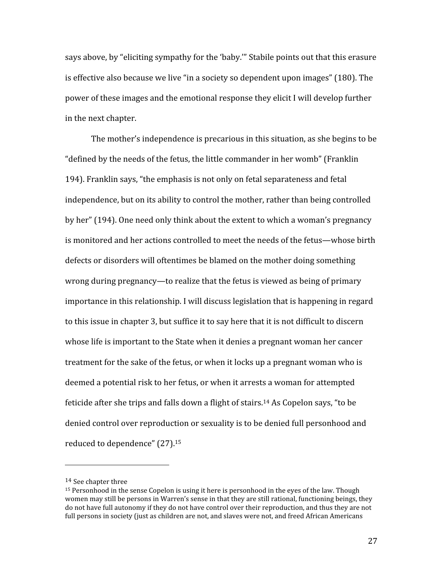says above, by "eliciting sympathy for the 'baby.'" Stabile points out that this erasure is effective also because we live "in a society so dependent upon images" (180). The power of these images and the emotional response they elicit I will develop further in the next chapter.

The mother's independence is precarious in this situation, as she begins to be "defined by the needs of the fetus, the little commander in her womb" (Franklin 194). Franklin says, "the emphasis is not only on fetal separateness and fetal independence, but on its ability to control the mother, rather than being controlled by her" (194). One need only think about the extent to which a woman's pregnancy is monitored and her actions controlled to meet the needs of the fetus—whose birth defects or disorders will oftentimes be blamed on the mother doing something wrong during pregnancy—to realize that the fetus is viewed as being of primary importance in this relationship. I will discuss legislation that is happening in regard to this issue in chapter 3, but suffice it to say here that it is not difficult to discern whose life is important to the State when it denies a pregnant woman her cancer treatment for the sake of the fetus, or when it locks up a pregnant woman who is deemed a potential risk to her fetus, or when it arrests a woman for attempted feticide after she trips and falls down a flight of stairs.14 As Copelon says, "to be denied control over reproduction or sexuality is to be denied full personhood and reduced to dependence" (27).15

<sup>14</sup> See chapter three

<sup>15</sup> Personhood in the sense Copelon is using it here is personhood in the eyes of the law. Though women may still be persons in Warren's sense in that they are still rational, functioning beings, they do not have full autonomy if they do not have control over their reproduction, and thus they are not full persons in society (just as children are not, and slaves were not, and freed African Americans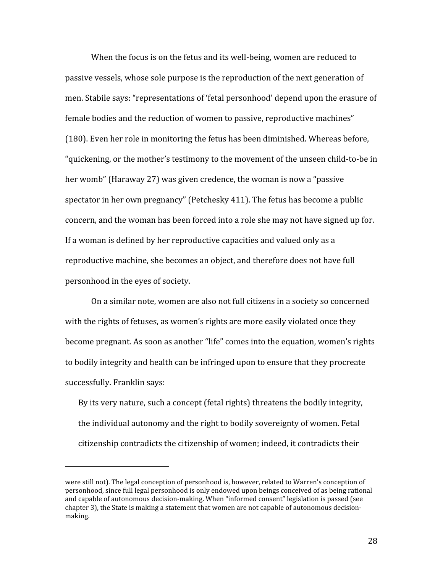When the focus is on the fetus and its well-being, women are reduced to passive vessels, whose sole purpose is the reproduction of the next generation of men. Stabile says: "representations of 'fetal personhood' depend upon the erasure of female bodies and the reduction of women to passive, reproductive machines" (180). Even her role in monitoring the fetus has been diminished. Whereas before, "quickening, or the mother's testimony to the movement of the unseen child‐to‐be in her womb" (Haraway 27) was given credence, the woman is now a "passive spectator in her own pregnancy" (Petchesky 411). The fetus has become a public concern, and the woman has been forced into a role she may not have signed up for. If a woman is defined by her reproductive capacities and valued only as a reproductive machine, she becomes an object, and therefore does not have full personhood in the eyes of society.

On a similar note, women are also not full citizens in a society so concerned with the rights of fetuses, as women's rights are more easily violated once they become pregnant. As soon as another "life" comes into the equation, women's rights to bodily integrity and health can be infringed upon to ensure that they procreate successfully. Franklin says:

By its very nature, such a concept (fetal rights) threatens the bodily integrity, the individual autonomy and the right to bodily sovereignty of women. Fetal citizenship contradicts the citizenship of women; indeed, it contradicts their

were still not). The legal conception of personhood is, however, related to Warren's conception of personhood, since full legal personhood is only endowed upon beings conceived of as being rational and capable of autonomous decision-making. When "informed consent" legislation is passed (see chapter 3), the State is making a statement that women are not capable of autonomous decisionmaking.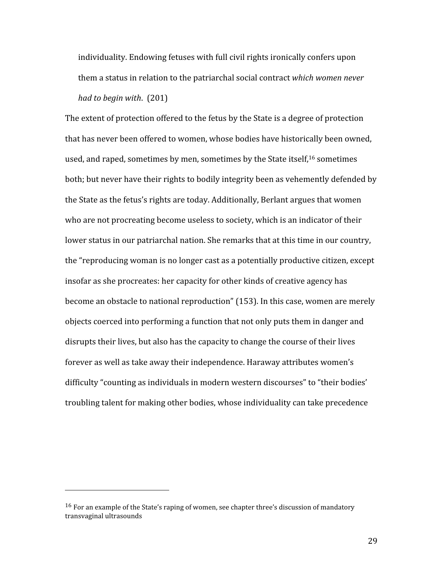individuality. Endowing fetuses with full civil rights ironically confers upon them a status in relation to the patriarchal social contract *which women never had to begin with*. (201)

The extent of protection offered to the fetus by the State is a degree of protection that has never been offered to women, whose bodies have historically been owned, used, and raped, sometimes by men, sometimes by the State itself,<sup>16</sup> sometimes both; but never have their rights to bodily integrity been as vehemently defended by the State as the fetus's rights are today. Additionally, Berlant argues that women who are not procreating become useless to society, which is an indicator of their lower status in our patriarchal nation. She remarks that at this time in our country, the "reproducing woman is no longer cast as a potentially productive citizen, except insofar as she procreates: her capacity for other kinds of creative agency has become an obstacle to national reproduction" (153). In this case, women are merely objects coerced into performing a function that not only puts them in danger and disrupts their lives, but also has the capacity to change the course of their lives forever as well as take away their independence. Haraway attributes women's difficulty "counting as individuals in modern western discourses" to "their bodies' troubling talent for making other bodies, whose individuality can take precedence

<sup>&</sup>lt;sup>16</sup> For an example of the State's raping of women, see chapter three's discussion of mandatory transvaginal ultrasounds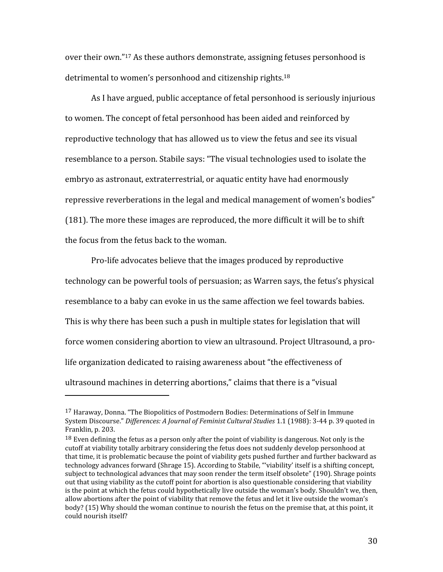over their own."17 As these authors demonstrate, assigning fetuses personhood is detrimental to women's personhood and citizenship rights.18

As I have argued, public acceptance of fetal personhood is seriously injurious to women. The concept of fetal personhood has been aided and reinforced by reproductive technology that has allowed us to view the fetus and see its visual resemblance to a person. Stabile says: "The visual technologies used to isolate the embryo as astronaut, extraterrestrial, or aquatic entity have had enormously repressive reverberations in the legal and medical management of women's bodies" (181). The more these images are reproduced, the more difficult it will be to shift the focus from the fetus back to the woman.

Pro‐life advocates believe that the images produced by reproductive technology can be powerful tools of persuasion; as Warren says, the fetus's physical resemblance to a baby can evoke in us the same affection we feel towards babies. This is why there has been such a push in multiple states for legislation that will force women considering abortion to view an ultrasound. Project Ultrasound, a pro‐ life organization dedicated to raising awareness about "the effectiveness of ultrasound machines in deterring abortions," claims that there is a "visual

<sup>17</sup> Haraway, Donna. "The Biopolitics of Postmodern Bodies: Determinations of Self in Immune System Discourse." *Differences: A Journal of Feminist Cultural Studies* 1.1 (1988): 3‐44 p. 39 quoted in Franklin, p. 203.

 $18$  Even defining the fetus as a person only after the point of viability is dangerous. Not only is the cutoff at viability totally arbitrary considering the fetus does not suddenly develop personhood at that time, it is problematic because the point of viability gets pushed further and further backward as technology advances forward (Shrage 15). According to Stabile, "'viability' itself is a shifting concept, subject to technological advances that may soon render the term itself obsolete" (190). Shrage points out that using viability as the cutoff point for abortion is also questionable considering that viability is the point at which the fetus could hypothetically live outside the woman's body. Shouldn't we, then, allow abortions after the point of viability that remove the fetus and let it live outside the woman's body? (15) Why should the woman continue to nourish the fetus on the premise that, at this point, it could nourish itself?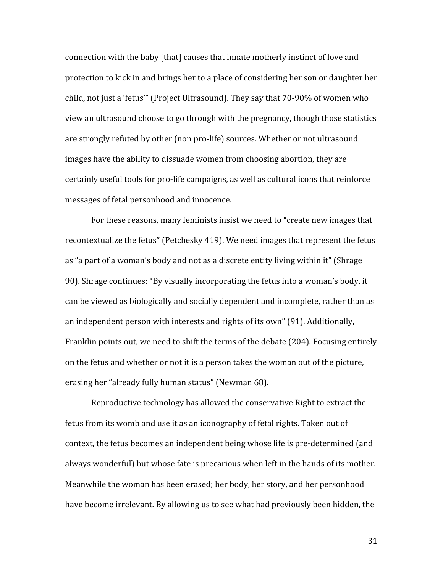connection with the baby [that] causes that innate motherly instinct of love and protection to kick in and brings her to a place of considering her son or daughter her child, not just a 'fetus'" (Project Ultrasound). They say that 70‐90% of women who view an ultrasound choose to go through with the pregnancy, though those statistics are strongly refuted by other (non pro‐life) sources. Whether or not ultrasound images have the ability to dissuade women from choosing abortion, they are certainly useful tools for pro‐life campaigns, as well as cultural icons that reinforce messages of fetal personhood and innocence.

For these reasons, many feminists insist we need to "create new images that recontextualize the fetus" (Petchesky 419). We need images that represent the fetus as "a part of a woman's body and not as a discrete entity living within it" (Shrage 90). Shrage continues: "By visually incorporating the fetus into a woman's body, it can be viewed as biologically and socially dependent and incomplete, rather than as an independent person with interests and rights of its own" (91). Additionally, Franklin points out, we need to shift the terms of the debate (204). Focusing entirely on the fetus and whether or not it is a person takes the woman out of the picture, erasing her "already fully human status" (Newman 68).

Reproductive technology has allowed the conservative Right to extract the fetus from its womb and use it as an iconography of fetal rights. Taken out of context, the fetus becomes an independent being whose life is pre‐determined (and always wonderful) but whose fate is precarious when left in the hands of its mother. Meanwhile the woman has been erased; her body, her story, and her personhood have become irrelevant. By allowing us to see what had previously been hidden, the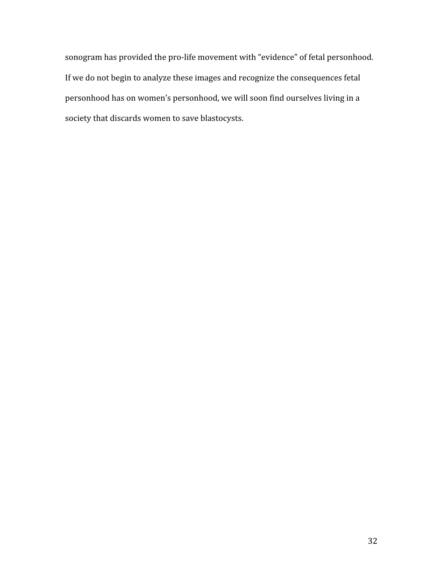sonogram has provided the pro-life movement with "evidence" of fetal personhood. If we do not begin to analyze these images and recognize the consequences fetal personhood has on women's personhood, we will soon find ourselves living in a society that discards women to save blastocysts.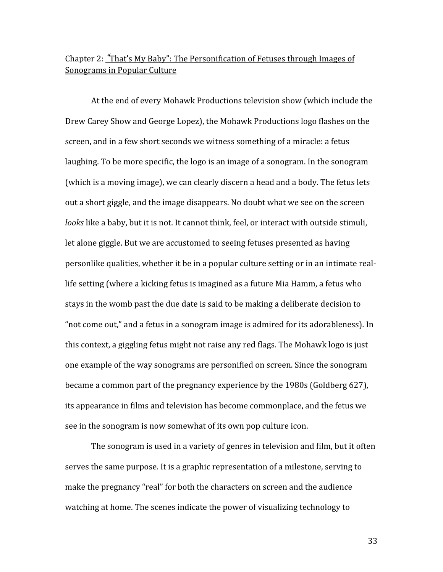### Chapter 2: *"*That's My Baby": The Personification of Fetuses through Images of Sonograms in Popular Culture

At the end of every Mohawk Productions television show (which include the Drew Carey Show and George Lopez), the Mohawk Productions logo flashes on the screen, and in a few short seconds we witness something of a miracle: a fetus laughing. To be more specific, the logo is an image of a sonogram. In the sonogram (which is a moving image), we can clearly discern a head and a body. The fetus lets out a short giggle, and the image disappears. No doubt what we see on the screen *looks* like a baby, but it is not. It cannot think, feel, or interact with outside stimuli, let alone giggle. But we are accustomed to seeing fetuses presented as having personlike qualities, whether it be in a popular culture setting or in an intimate real‐ life setting (where a kicking fetus is imagined as a future Mia Hamm, a fetus who stays in the womb past the due date is said to be making a deliberate decision to "not come out," and a fetus in a sonogram image is admired for its adorableness). In this context, a giggling fetus might not raise any red flags. The Mohawk logo is just one example of the way sonograms are personified on screen. Since the sonogram became a common part of the pregnancy experience by the 1980s (Goldberg 627), its appearance in films and television has become commonplace, and the fetus we see in the sonogram is now somewhat of its own pop culture icon.

The sonogram is used in a variety of genres in television and film, but it often serves the same purpose. It is a graphic representation of a milestone, serving to make the pregnancy "real" for both the characters on screen and the audience watching at home. The scenes indicate the power of visualizing technology to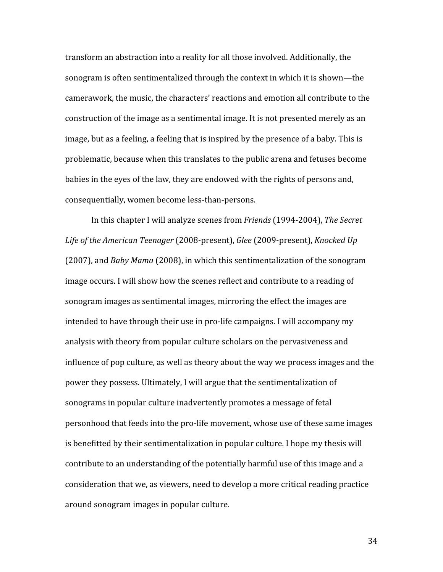transform an abstraction into a reality for all those involved. Additionally, the sonogram is often sentimentalized through the context in which it is shown—the camerawork, the music, the characters' reactions and emotion all contribute to the construction of the image as a sentimental image. It is not presented merely as an image, but as a feeling, a feeling that is inspired by the presence of a baby. This is problematic, because when this translates to the public arena and fetuses become babies in the eyes of the law, they are endowed with the rights of persons and, consequentially, women become less‐than‐persons.

In this chapter I will analyze scenes from *Friends* (1994‐2004), *The Secret Life of the American Teenager* (2008‐present), *Glee* (2009‐present), *Knocked Up* (2007), and *Baby Mama* (2008), in which this sentimentalization of the sonogram image occurs. I will show how the scenes reflect and contribute to a reading of sonogram images as sentimental images, mirroring the effect the images are intended to have through their use in pro‐life campaigns. I will accompany my analysis with theory from popular culture scholars on the pervasiveness and influence of pop culture, as well as theory about the way we process images and the power they possess. Ultimately, I will argue that the sentimentalization of sonograms in popular culture inadvertently promotes a message of fetal personhood that feeds into the pro‐life movement, whose use of these same images is benefitted by their sentimentalization in popular culture. I hope my thesis will contribute to an understanding of the potentially harmful use of this image and a consideration that we, as viewers, need to develop a more critical reading practice around sonogram images in popular culture.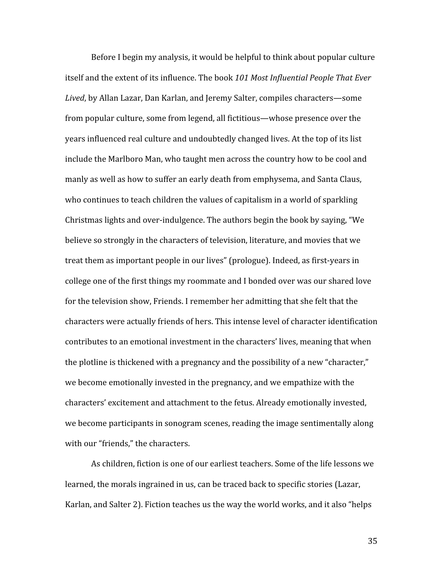Before I begin my analysis, it would be helpful to think about popular culture itself and the extent of its influence. The book *101 Most Influential People That Ever Lived*, by Allan Lazar, Dan Karlan, and Jeremy Salter, compiles characters—some from popular culture, some from legend, all fictitious—whose presence over the years influenced real culture and undoubtedly changed lives. At the top of its list include the Marlboro Man, who taught men across the country how to be cool and manly as well as how to suffer an early death from emphysema, and Santa Claus, who continues to teach children the values of capitalism in a world of sparkling Christmas lights and over‐indulgence. The authors begin the book by saying, "We believe so strongly in the characters of television, literature, and movies that we treat them as important people in our lives" (prologue). Indeed, as first‐years in college one of the first things my roommate and I bonded over was our shared love for the television show, Friends. I remember her admitting that she felt that the characters were actually friends of hers. This intense level of character identification contributes to an emotional investment in the characters' lives, meaning that when the plotline is thickened with a pregnancy and the possibility of a new "character," we become emotionally invested in the pregnancy, and we empathize with the characters' excitement and attachment to the fetus. Already emotionally invested, we become participants in sonogram scenes, reading the image sentimentally along with our "friends," the characters.

As children, fiction is one of our earliest teachers. Some of the life lessons we learned, the morals ingrained in us, can be traced back to specific stories (Lazar, Karlan, and Salter 2). Fiction teaches us the way the world works, and it also "helps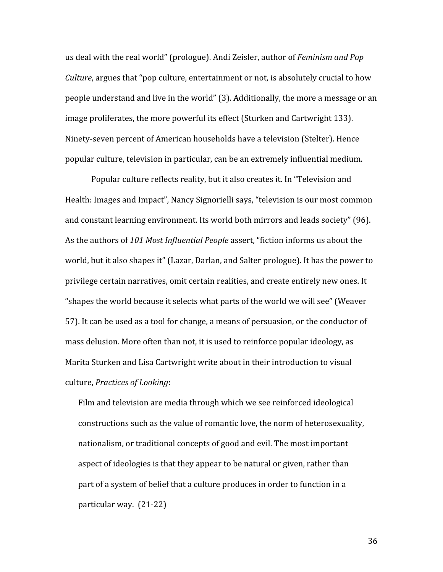us deal with the real world" (prologue). Andi Zeisler, author of *Feminism and Pop Culture*, argues that "pop culture, entertainment or not, is absolutely crucial to how people understand and live in the world" (3). Additionally, the more a message or an image proliferates, the more powerful its effect (Sturken and Cartwright 133). Ninety‐seven percent of American households have a television (Stelter). Hence popular culture, television in particular, can be an extremely influential medium.

Popular culture reflects reality, but it also creates it. In "Television and Health: Images and Impact", Nancy Signorielli says, "television is our most common and constant learning environment. Its world both mirrors and leads society" (96). As the authors of *101 Most Influential People* assert, "fiction informs us about the world, but it also shapes it" (Lazar, Darlan, and Salter prologue). It has the power to privilege certain narratives, omit certain realities, and create entirely new ones. It "shapes the world because it selects what parts of the world we will see" (Weaver 57). It can be used as a tool for change, a means of persuasion, or the conductor of mass delusion. More often than not, it is used to reinforce popular ideology, as Marita Sturken and Lisa Cartwright write about in their introduction to visual culture, *Practices of Looking*:

Film and television are media through which we see reinforced ideological constructions such as the value of romantic love, the norm of heterosexuality, nationalism, or traditional concepts of good and evil. The most important aspect of ideologies is that they appear to be natural or given, rather than part of a system of belief that a culture produces in order to function in a particular way. (21‐22)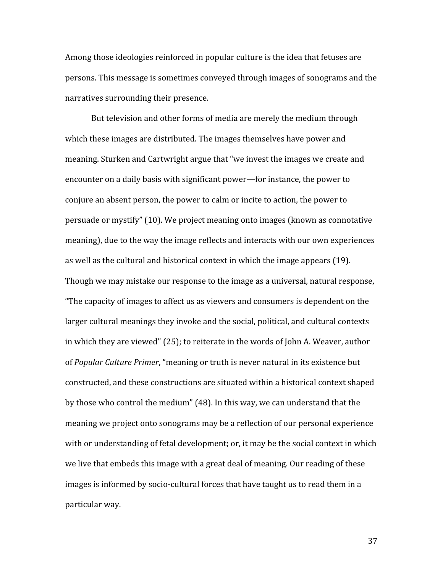Among those ideologies reinforced in popular culture is the idea that fetuses are persons. This message is sometimes conveyed through images of sonograms and the narratives surrounding their presence.

But television and other forms of media are merely the medium through which these images are distributed. The images themselves have power and meaning. Sturken and Cartwright argue that "we invest the images we create and encounter on a daily basis with significant power—for instance, the power to conjure an absent person, the power to calm or incite to action, the power to persuade or mystify" (10). We project meaning onto images (known as connotative meaning), due to the way the image reflects and interacts with our own experiences as well as the cultural and historical context in which the image appears (19). Though we may mistake our response to the image as a universal, natural response, "The capacity of images to affect us as viewers and consumers is dependent on the larger cultural meanings they invoke and the social, political, and cultural contexts in which they are viewed" (25); to reiterate in the words of John A. Weaver, author of *Popular Culture Primer*, "meaning or truth is never natural in its existence but constructed, and these constructions are situated within a historical context shaped by those who control the medium" (48). In this way, we can understand that the meaning we project onto sonograms may be a reflection of our personal experience with or understanding of fetal development; or, it may be the social context in which we live that embeds this image with a great deal of meaning. Our reading of these images is informed by socio-cultural forces that have taught us to read them in a particular way.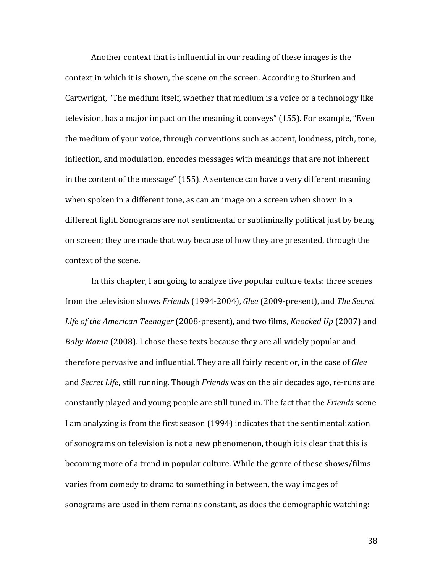Another context that is influential in our reading of these images is the context in which it is shown, the scene on the screen. According to Sturken and Cartwright, "The medium itself, whether that medium is a voice or a technology like television, has a major impact on the meaning it conveys" (155). For example, "Even the medium of your voice, through conventions such as accent, loudness, pitch, tone, inflection, and modulation, encodes messages with meanings that are not inherent in the content of the message" (155). A sentence can have a very different meaning when spoken in a different tone, as can an image on a screen when shown in a different light. Sonograms are not sentimental or subliminally political just by being on screen; they are made that way because of how they are presented, through the context of the scene.

In this chapter, I am going to analyze five popular culture texts: three scenes from the television shows *Friends* (1994‐2004), *Glee* (2009‐present), and *The Secret Life of the American Teenager* (2008‐present), and two films, *Knocked Up* (2007) and *Baby Mama* (2008). I chose these texts because they are all widely popular and therefore pervasive and influential. They are all fairly recent or, in the case of *Glee*  and *Secret Life*, still running. Though *Friends* was on the air decades ago, re‐runs are constantly played and young people are still tuned in. The fact that the *Friends* scene I am analyzing is from the first season (1994) indicates that the sentimentalization of sonograms on television is not a new phenomenon, though it is clear that this is becoming more of a trend in popular culture. While the genre of these shows/films varies from comedy to drama to something in between, the way images of sonograms are used in them remains constant, as does the demographic watching: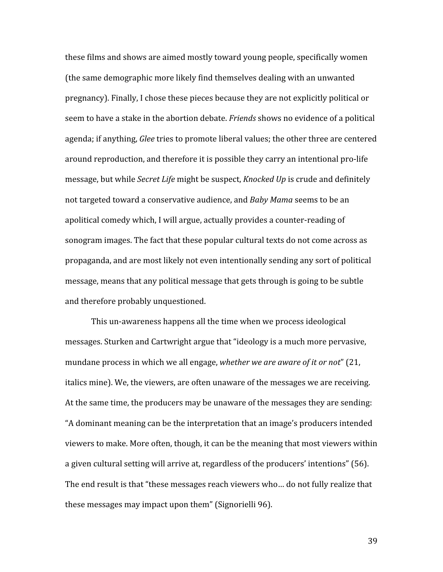these films and shows are aimed mostly toward young people, specifically women (the same demographic more likely find themselves dealing with an unwanted pregnancy). Finally, I chose these pieces because they are not explicitly political or seem to have a stake in the abortion debate. *Friends* shows no evidence of a political agenda; if anything, *Glee* tries to promote liberal values; the other three are centered around reproduction, and therefore it is possible they carry an intentional pro‐life message, but while *Secret Life* might be suspect, *Knocked Up* is crude and definitely not targeted toward a conservative audience, and *Baby Mama* seems to be an apolitical comedy which, I will argue, actually provides a counter‐reading of sonogram images. The fact that these popular cultural texts do not come across as propaganda, and are most likely not even intentionally sending any sort of political message, means that any political message that gets through is going to be subtle and therefore probably unquestioned.

This un‐awareness happens all the time when we process ideological messages. Sturken and Cartwright argue that "ideology is a much more pervasive, mundane process in which we all engage, *whether we are aware of it or not*" (21, italics mine). We, the viewers, are often unaware of the messages we are receiving. At the same time, the producers may be unaware of the messages they are sending: "A dominant meaning can be the interpretation that an image's producers intended viewers to make. More often, though, it can be the meaning that most viewers within a given cultural setting will arrive at, regardless of the producers' intentions" (56). The end result is that "these messages reach viewers who… do not fully realize that these messages may impact upon them" (Signorielli 96).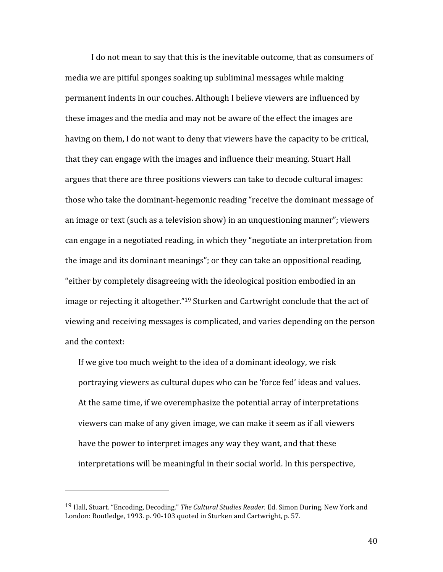I do not mean to say that this is the inevitable outcome, that as consumers of media we are pitiful sponges soaking up subliminal messages while making permanent indents in our couches. Although I believe viewers are influenced by these images and the media and may not be aware of the effect the images are having on them, I do not want to deny that viewers have the capacity to be critical, that they can engage with the images and influence their meaning. Stuart Hall argues that there are three positions viewers can take to decode cultural images: those who take the dominant‐hegemonic reading "receive the dominant message of an image or text (such as a television show) in an unquestioning manner"; viewers can engage in a negotiated reading, in which they "negotiate an interpretation from the image and its dominant meanings"; or they can take an oppositional reading, "either by completely disagreeing with the ideological position embodied in an image or rejecting it altogether."19 Sturken and Cartwright conclude that the act of viewing and receiving messages is complicated, and varies depending on the person and the context:

If we give too much weight to the idea of a dominant ideology, we risk portraying viewers as cultural dupes who can be 'force fed' ideas and values. At the same time, if we overemphasize the potential array of interpretations viewers can make of any given image, we can make it seem as if all viewers have the power to interpret images any way they want, and that these interpretations will be meaningful in their social world. In this perspective,

<sup>19</sup> Hall, Stuart. "Encoding, Decoding." *The Cultural Studies Reader.* Ed. Simon During. New York and London: Routledge, 1993. p. 90‐103 quoted in Sturken and Cartwright, p. 57.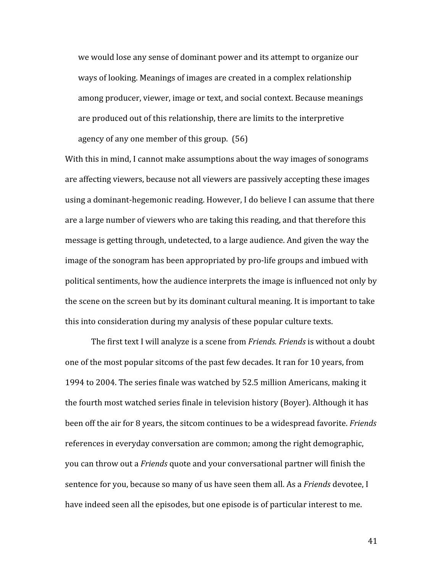we would lose any sense of dominant power and its attempt to organize our ways of looking. Meanings of images are created in a complex relationship among producer, viewer, image or text, and social context. Because meanings are produced out of this relationship, there are limits to the interpretive agency of any one member of this group. (56)

With this in mind, I cannot make assumptions about the way images of sonograms are affecting viewers, because not all viewers are passively accepting these images using a dominant‐hegemonic reading. However, I do believe I can assume that there are a large number of viewers who are taking this reading, and that therefore this message is getting through, undetected, to a large audience. And given the way the image of the sonogram has been appropriated by pro‐life groups and imbued with political sentiments, how the audience interprets the image is influenced not only by the scene on the screen but by its dominant cultural meaning. It is important to take this into consideration during my analysis of these popular culture texts.

The first text I will analyze is a scene from *Friends. Friends* is without a doubt one of the most popular sitcoms of the past few decades. It ran for 10 years, from 1994 to 2004. The series finale was watched by 52.5 million Americans, making it the fourth most watched series finale in television history (Boyer). Although it has been off the air for 8 years, the sitcom continues to be a widespread favorite. *Friends* references in everyday conversation are common; among the right demographic, you can throw out a *Friends* quote and your conversational partner will finish the sentence for you, because so many of us have seen them all. As a *Friends* devotee, I have indeed seen all the episodes, but one episode is of particular interest to me.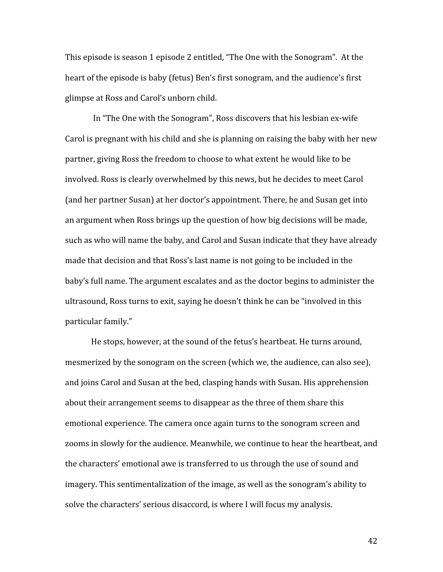This episode is season 1 episode 2 entitled, "The One with the Sonogram". At the heart of the episode is baby (fetus) Ben's first sonogram, and the audience's first glimpse at Ross and Carol's unborn child.

 In "The One with the Sonogram", Ross discovers that his lesbian ex‐wife Carol is pregnant with his child and she is planning on raising the baby with her new partner, giving Ross the freedom to choose to what extent he would like to be involved. Ross is clearly overwhelmed by this news, but he decides to meet Carol (and her partner Susan) at her doctor's appointment. There, he and Susan get into an argument when Ross brings up the question of how big decisions will be made, such as who will name the baby, and Carol and Susan indicate that they have already made that decision and that Ross's last name is not going to be included in the baby's full name. The argument escalates and as the doctor begins to administer the ultrasound, Ross turns to exit, saying he doesn't think he can be "involved in this particular family."

He stops, however, at the sound of the fetus's heartbeat. He turns around, mesmerized by the sonogram on the screen (which we, the audience, can also see), and joins Carol and Susan at the bed, clasping hands with Susan. His apprehension about their arrangement seems to disappear as the three of them share this emotional experience. The camera once again turns to the sonogram screen and zooms in slowly for the audience. Meanwhile, we continue to hear the heartbeat, and the characters' emotional awe is transferred to us through the use of sound and imagery. This sentimentalization of the image, as well as the sonogram's ability to solve the characters' serious disaccord, is where I will focus my analysis.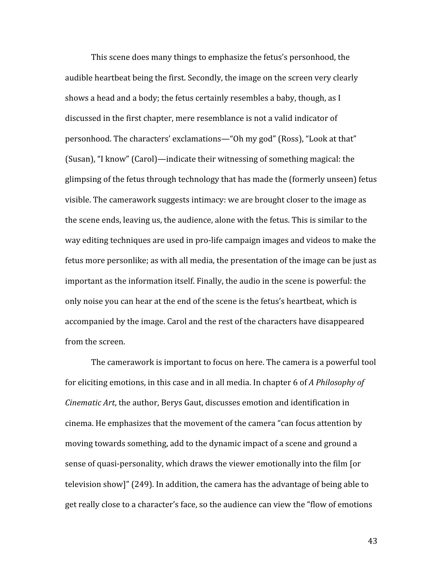This scene does many things to emphasize the fetus's personhood, the audible heartbeat being the first. Secondly, the image on the screen very clearly shows a head and a body; the fetus certainly resembles a baby, though, as I discussed in the first chapter, mere resemblance is not a valid indicator of personhood. The characters' exclamations—"Oh my god" (Ross), "Look at that" (Susan), "I know" (Carol)—indicate their witnessing of something magical: the glimpsing of the fetus through technology that has made the (formerly unseen) fetus visible. The camerawork suggests intimacy: we are brought closer to the image as the scene ends, leaving us, the audience, alone with the fetus. This is similar to the way editing techniques are used in pro‐life campaign images and videos to make the fetus more personlike; as with all media, the presentation of the image can be just as important as the information itself. Finally, the audio in the scene is powerful: the only noise you can hear at the end of the scene is the fetus's heartbeat, which is accompanied by the image. Carol and the rest of the characters have disappeared from the screen.

The camerawork is important to focus on here. The camera is a powerful tool for eliciting emotions, in this case and in all media. In chapter 6 of *A Philosophy of Cinematic Art*, the author, Berys Gaut, discusses emotion and identification in cinema. He emphasizes that the movement of the camera "can focus attention by moving towards something, add to the dynamic impact of a scene and ground a sense of quasi-personality, which draws the viewer emotionally into the film [or television show]" (249). In addition, the camera has the advantage of being able to get really close to a character's face, so the audience can view the "flow of emotions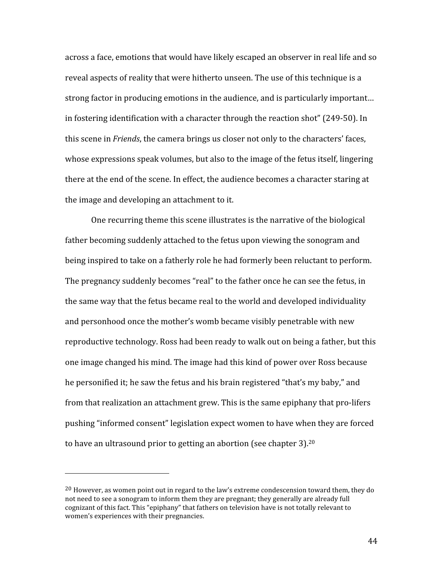across a face, emotions that would have likely escaped an observer in real life and so reveal aspects of reality that were hitherto unseen. The use of this technique is a strong factor in producing emotions in the audience, and is particularly important… in fostering identification with a character through the reaction shot" (249‐50). In this scene in *Friends*, the camera brings us closer not only to the characters' faces, whose expressions speak volumes, but also to the image of the fetus itself, lingering there at the end of the scene. In effect, the audience becomes a character staring at the image and developing an attachment to it.

One recurring theme this scene illustrates is the narrative of the biological father becoming suddenly attached to the fetus upon viewing the sonogram and being inspired to take on a fatherly role he had formerly been reluctant to perform. The pregnancy suddenly becomes "real" to the father once he can see the fetus, in the same way that the fetus became real to the world and developed individuality and personhood once the mother's womb became visibly penetrable with new reproductive technology. Ross had been ready to walk out on being a father, but this one image changed his mind. The image had this kind of power over Ross because he personified it; he saw the fetus and his brain registered "that's my baby," and from that realization an attachment grew. This is the same epiphany that pro‐lifers pushing "informed consent" legislation expect women to have when they are forced to have an ultrasound prior to getting an abortion (see chapter 3).<sup>20</sup>

 $^{20}$  However, as women point out in regard to the law's extreme condescension toward them, they do not need to see a sonogram to inform them they are pregnant; they generally are already full cognizant of this fact. This "epiphany" that fathers on television have is not totally relevant to women's experiences with their pregnancies.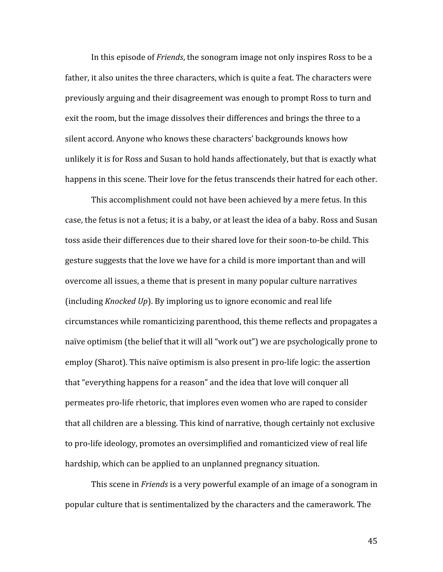In this episode of *Friends*, the sonogram image not only inspires Ross to be a father, it also unites the three characters, which is quite a feat. The characters were previously arguing and their disagreement was enough to prompt Ross to turn and exit the room, but the image dissolves their differences and brings the three to a silent accord. Anyone who knows these characters' backgrounds knows how unlikely it is for Ross and Susan to hold hands affectionately, but that is exactly what happens in this scene. Their love for the fetus transcends their hatred for each other.

This accomplishment could not have been achieved by a mere fetus. In this case, the fetus is not a fetus; it is a baby, or at least the idea of a baby. Ross and Susan toss aside their differences due to their shared love for their soon‐to‐be child. This gesture suggests that the love we have for a child is more important than and will overcome all issues, a theme that is present in many popular culture narratives (including *Knocked Up*). By imploring us to ignore economic and real life circumstances while romanticizing parenthood, this theme reflects and propagates a naïve optimism (the belief that it will all "work out") we are psychologically prone to employ (Sharot). This naïve optimism is also present in pro‐life logic: the assertion that "everything happens for a reason" and the idea that love will conquer all permeates pro‐life rhetoric, that implores even women who are raped to consider that all children are a blessing. This kind of narrative, though certainly not exclusive to pro‐life ideology, promotes an oversimplified and romanticized view of real life hardship, which can be applied to an unplanned pregnancy situation.

This scene in *Friends* is a very powerful example of an image of a sonogram in popular culture that is sentimentalized by the characters and the camerawork. The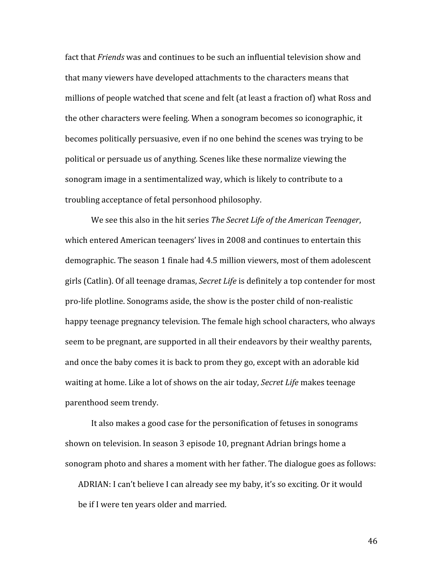fact that *Friends* was and continues to be such an influential television show and that many viewers have developed attachments to the characters means that millions of people watched that scene and felt (at least a fraction of) what Ross and the other characters were feeling. When a sonogram becomes so iconographic, it becomes politically persuasive, even if no one behind the scenes was trying to be political or persuade us of anything. Scenes like these normalize viewing the sonogram image in a sentimentalized way, which is likely to contribute to a troubling acceptance of fetal personhood philosophy.

We see this also in the hit series *The Secret Life of the American Teenager*, which entered American teenagers' lives in 2008 and continues to entertain this demographic. The season 1 finale had 4.5 million viewers, most of them adolescent girls (Catlin). Of all teenage dramas, *Secret Life* is definitely a top contender for most pro‐life plotline. Sonograms aside, the show is the poster child of non‐realistic happy teenage pregnancy television. The female high school characters, who always seem to be pregnant, are supported in all their endeavors by their wealthy parents, and once the baby comes it is back to prom they go, except with an adorable kid waiting at home. Like a lot of shows on the air today, *Secret Life* makes teenage parenthood seem trendy.

It also makes a good case for the personification of fetuses in sonograms shown on television. In season 3 episode 10, pregnant Adrian brings home a sonogram photo and shares a moment with her father. The dialogue goes as follows:

ADRIAN: I can't believe I can already see my baby, it's so exciting. Or it would be if I were ten years older and married.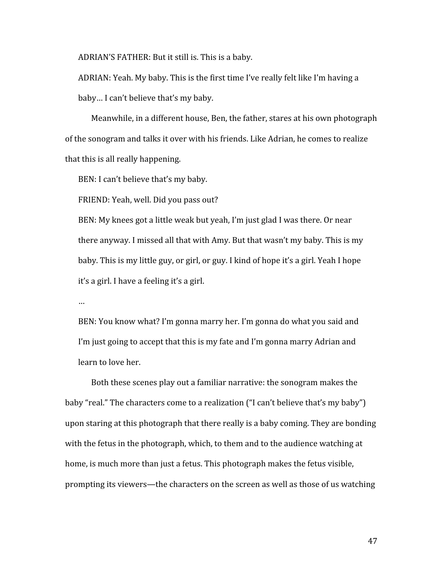ADRIAN'S FATHER: But it still is. This is a baby.

ADRIAN: Yeah. My baby. This is the first time I've really felt like I'm having a baby… I can't believe that's my baby.

Meanwhile, in a different house, Ben, the father, stares at his own photograph of the sonogram and talks it over with his friends. Like Adrian, he comes to realize that this is all really happening.

BEN: I can't believe that's my baby.

FRIEND: Yeah, well. Did you pass out?

BEN: My knees got a little weak but yeah, I'm just glad I was there. Or near there anyway. I missed all that with Amy. But that wasn't my baby. This is my baby. This is my little guy, or girl, or guy. I kind of hope it's a girl. Yeah I hope it's a girl. I have a feeling it's a girl.

…

BEN: You know what? I'm gonna marry her. I'm gonna do what you said and I'm just going to accept that this is my fate and I'm gonna marry Adrian and learn to love her.

Both these scenes play out a familiar narrative: the sonogram makes the baby "real." The characters come to a realization ("I can't believe that's my baby") upon staring at this photograph that there really is a baby coming. They are bonding with the fetus in the photograph, which, to them and to the audience watching at home, is much more than just a fetus. This photograph makes the fetus visible, prompting its viewers—the characters on the screen as well as those of us watching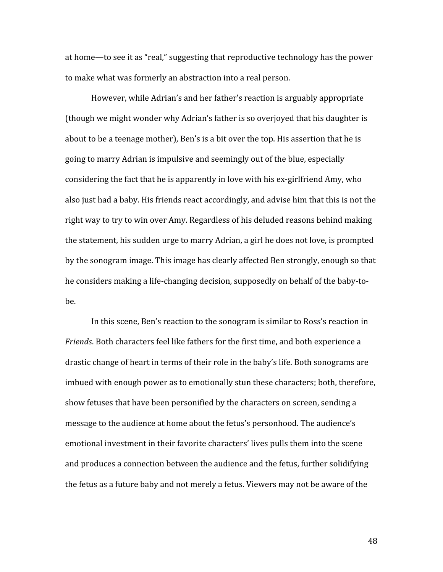at home—to see it as "real," suggesting that reproductive technology has the power to make what was formerly an abstraction into a real person.

However, while Adrian's and her father's reaction is arguably appropriate (though we might wonder why Adrian's father is so overjoyed that his daughter is about to be a teenage mother), Ben's is a bit over the top. His assertion that he is going to marry Adrian is impulsive and seemingly out of the blue, especially considering the fact that he is apparently in love with his ex‐girlfriend Amy, who also just had a baby. His friends react accordingly, and advise him that this is not the right way to try to win over Amy. Regardless of his deluded reasons behind making the statement, his sudden urge to marry Adrian, a girl he does not love, is prompted by the sonogram image. This image has clearly affected Ben strongly, enough so that he considers making a life‐changing decision, supposedly on behalf of the baby‐to‐ be.

In this scene, Ben's reaction to the sonogram is similar to Ross's reaction in *Friends*. Both characters feel like fathers for the first time, and both experience a drastic change of heart in terms of their role in the baby's life. Both sonograms are imbued with enough power as to emotionally stun these characters; both, therefore, show fetuses that have been personified by the characters on screen, sending a message to the audience at home about the fetus's personhood. The audience's emotional investment in their favorite characters' lives pulls them into the scene and produces a connection between the audience and the fetus, further solidifying the fetus as a future baby and not merely a fetus. Viewers may not be aware of the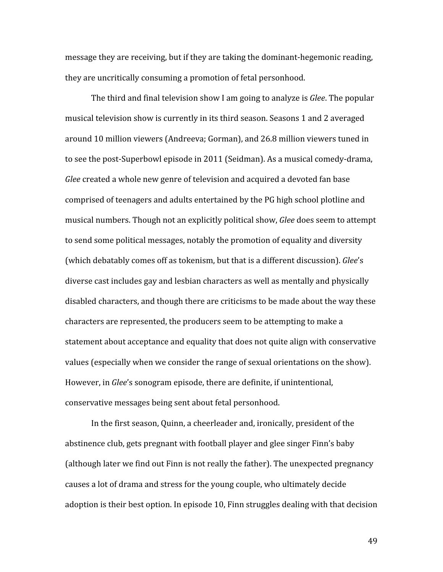message they are receiving, but if they are taking the dominant‐hegemonic reading, they are uncritically consuming a promotion of fetal personhood.

The third and final television show I am going to analyze is *Glee*. The popular musical television show is currently in its third season. Seasons 1 and 2 averaged around 10 million viewers (Andreeva; Gorman), and 26.8 million viewers tuned in to see the post‐Superbowl episode in 2011 (Seidman). As a musical comedy‐drama, *Glee* created a whole new genre of television and acquired a devoted fan base comprised of teenagers and adults entertained by the PG high school plotline and musical numbers. Though not an explicitly political show, *Glee* does seem to attempt to send some political messages, notably the promotion of equality and diversity (which debatably comes off as tokenism, but that is a different discussion). *Glee*'s diverse cast includes gay and lesbian characters as well as mentally and physically disabled characters, and though there are criticisms to be made about the way these characters are represented, the producers seem to be attempting to make a statement about acceptance and equality that does not quite align with conservative values (especially when we consider the range of sexual orientations on the show). However, in *Glee*'s sonogram episode, there are definite, if unintentional, conservative messages being sent about fetal personhood.

In the first season, Quinn, a cheerleader and, ironically, president of the abstinence club, gets pregnant with football player and glee singer Finn's baby (although later we find out Finn is not really the father). The unexpected pregnancy causes a lot of drama and stress for the young couple, who ultimately decide adoption is their best option. In episode 10, Finn struggles dealing with that decision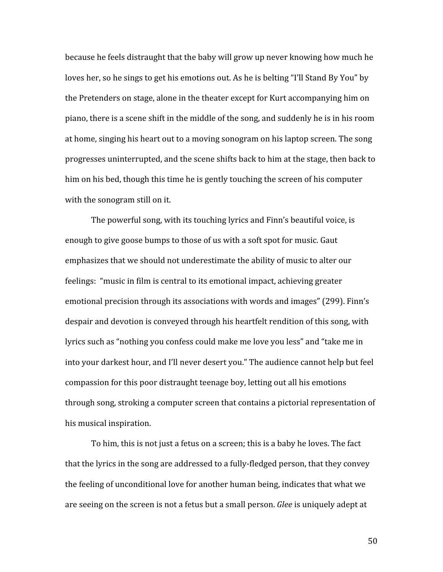because he feels distraught that the baby will grow up never knowing how much he loves her, so he sings to get his emotions out. As he is belting "I'll Stand By You" by the Pretenders on stage, alone in the theater except for Kurt accompanying him on piano, there is a scene shift in the middle of the song, and suddenly he is in his room at home, singing his heart out to a moving sonogram on his laptop screen. The song progresses uninterrupted, and the scene shifts back to him at the stage, then back to him on his bed, though this time he is gently touching the screen of his computer with the sonogram still on it.

The powerful song, with its touching lyrics and Finn's beautiful voice, is enough to give goose bumps to those of us with a soft spot for music. Gaut emphasizes that we should not underestimate the ability of music to alter our feelings: "music in film is central to its emotional impact, achieving greater emotional precision through its associations with words and images" (299). Finn's despair and devotion is conveyed through his heartfelt rendition of this song, with lyrics such as "nothing you confess could make me love you less" and "take me in into your darkest hour, and I'll never desert you." The audience cannot help but feel compassion for this poor distraught teenage boy, letting out all his emotions through song, stroking a computer screen that contains a pictorial representation of his musical inspiration.

To him, this is not just a fetus on a screen; this is a baby he loves. The fact that the lyrics in the song are addressed to a fully‐fledged person, that they convey the feeling of unconditional love for another human being, indicates that what we are seeing on the screen is not a fetus but a small person. *Glee* is uniquely adept at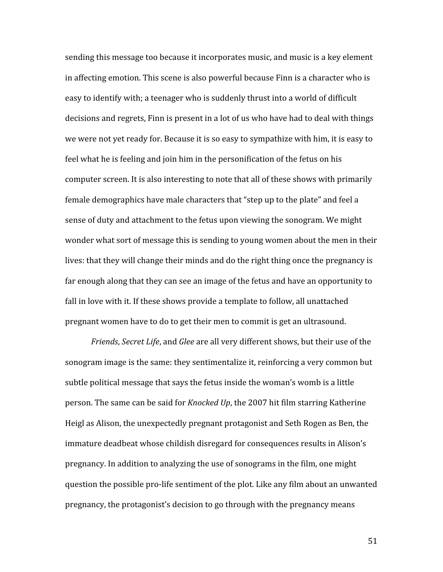sending this message too because it incorporates music, and music is a key element in affecting emotion. This scene is also powerful because Finn is a character who is easy to identify with; a teenager who is suddenly thrust into a world of difficult decisions and regrets, Finn is present in a lot of us who have had to deal with things we were not yet ready for. Because it is so easy to sympathize with him, it is easy to feel what he is feeling and join him in the personification of the fetus on his computer screen. It is also interesting to note that all of these shows with primarily female demographics have male characters that "step up to the plate" and feel a sense of duty and attachment to the fetus upon viewing the sonogram. We might wonder what sort of message this is sending to young women about the men in their lives: that they will change their minds and do the right thing once the pregnancy is far enough along that they can see an image of the fetus and have an opportunity to fall in love with it. If these shows provide a template to follow, all unattached pregnant women have to do to get their men to commit is get an ultrasound.

*Friends*, *Secret Life*, and *Glee* are all very different shows, but their use of the sonogram image is the same: they sentimentalize it, reinforcing a very common but subtle political message that says the fetus inside the woman's womb is a little person. The same can be said for *Knocked Up*, the 2007 hit film starring Katherine Heigl as Alison, the unexpectedly pregnant protagonist and Seth Rogen as Ben, the immature deadbeat whose childish disregard for consequences results in Alison's pregnancy. In addition to analyzing the use of sonograms in the film, one might question the possible pro‐life sentiment of the plot. Like any film about an unwanted pregnancy, the protagonist's decision to go through with the pregnancy means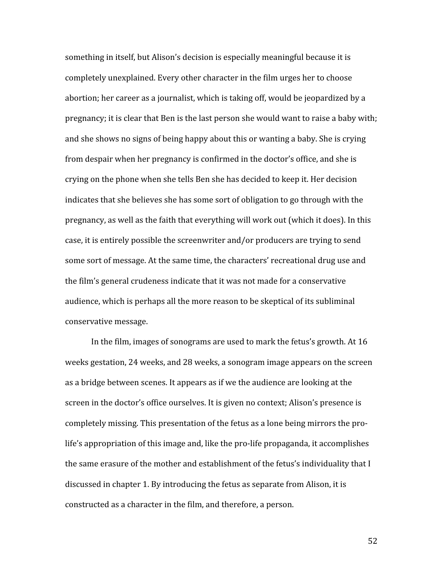something in itself, but Alison's decision is especially meaningful because it is completely unexplained. Every other character in the film urges her to choose abortion; her career as a journalist, which is taking off, would be jeopardized by a pregnancy; it is clear that Ben is the last person she would want to raise a baby with; and she shows no signs of being happy about this or wanting a baby. She is crying from despair when her pregnancy is confirmed in the doctor's office, and she is crying on the phone when she tells Ben she has decided to keep it. Her decision indicates that she believes she has some sort of obligation to go through with the pregnancy, as well as the faith that everything will work out (which it does). In this case, it is entirely possible the screenwriter and/or producers are trying to send some sort of message. At the same time, the characters' recreational drug use and the film's general crudeness indicate that it was not made for a conservative audience, which is perhaps all the more reason to be skeptical of its subliminal conservative message.

In the film, images of sonograms are used to mark the fetus's growth. At 16 weeks gestation, 24 weeks, and 28 weeks, a sonogram image appears on the screen as a bridge between scenes. It appears as if we the audience are looking at the screen in the doctor's office ourselves. It is given no context; Alison's presence is completely missing. This presentation of the fetus as a lone being mirrors the pro‐ life's appropriation of this image and, like the pro-life propaganda, it accomplishes the same erasure of the mother and establishment of the fetus's individuality that I discussed in chapter 1. By introducing the fetus as separate from Alison, it is constructed as a character in the film, and therefore, a person.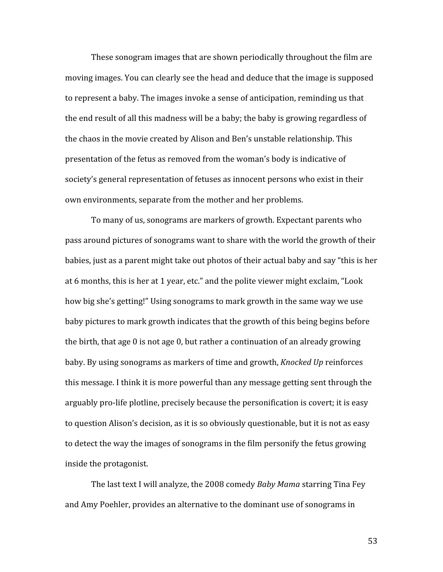These sonogram images that are shown periodically throughout the film are moving images. You can clearly see the head and deduce that the image is supposed to represent a baby. The images invoke a sense of anticipation, reminding us that the end result of all this madness will be a baby; the baby is growing regardless of the chaos in the movie created by Alison and Ben's unstable relationship. This presentation of the fetus as removed from the woman's body is indicative of society's general representation of fetuses as innocent persons who exist in their own environments, separate from the mother and her problems.

To many of us, sonograms are markers of growth. Expectant parents who pass around pictures of sonograms want to share with the world the growth of their babies, just as a parent might take out photos of their actual baby and say "this is her at 6 months, this is her at 1 year, etc." and the polite viewer might exclaim, "Look how big she's getting!" Using sonograms to mark growth in the same way we use baby pictures to mark growth indicates that the growth of this being begins before the birth, that age 0 is not age 0, but rather a continuation of an already growing baby. By using sonograms as markers of time and growth, *Knocked Up* reinforces this message. I think it is more powerful than any message getting sent through the arguably pro‐life plotline, precisely because the personification is covert; it is easy to question Alison's decision, as it is so obviously questionable, but it is not as easy to detect the way the images of sonograms in the film personify the fetus growing inside the protagonist.

The last text I will analyze, the 2008 comedy *Baby Mama* starring Tina Fey and Amy Poehler, provides an alternative to the dominant use of sonograms in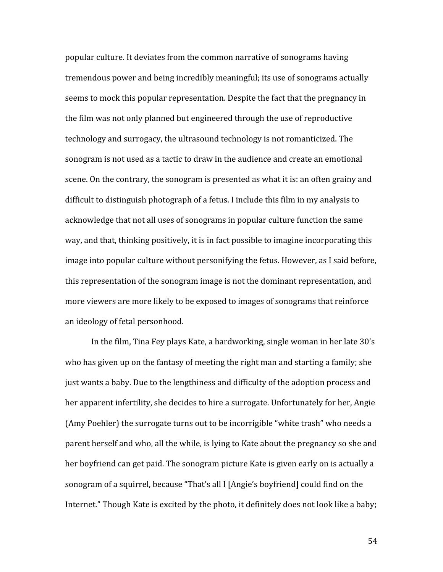popular culture. It deviates from the common narrative of sonograms having tremendous power and being incredibly meaningful; its use of sonograms actually seems to mock this popular representation. Despite the fact that the pregnancy in the film was not only planned but engineered through the use of reproductive technology and surrogacy, the ultrasound technology is not romanticized. The sonogram is not used as a tactic to draw in the audience and create an emotional scene. On the contrary, the sonogram is presented as what it is: an often grainy and difficult to distinguish photograph of a fetus. I include this film in my analysis to acknowledge that not all uses of sonograms in popular culture function the same way, and that, thinking positively, it is in fact possible to imagine incorporating this image into popular culture without personifying the fetus. However, as I said before, this representation of the sonogram image is not the dominant representation, and more viewers are more likely to be exposed to images of sonograms that reinforce an ideology of fetal personhood.

In the film, Tina Fey plays Kate, a hardworking, single woman in her late 30's who has given up on the fantasy of meeting the right man and starting a family; she just wants a baby. Due to the lengthiness and difficulty of the adoption process and her apparent infertility, she decides to hire a surrogate. Unfortunately for her, Angie (Amy Poehler) the surrogate turns out to be incorrigible "white trash" who needs a parent herself and who, all the while, is lying to Kate about the pregnancy so she and her boyfriend can get paid. The sonogram picture Kate is given early on is actually a sonogram of a squirrel, because "That's all I [Angie's boyfriend] could find on the Internet." Though Kate is excited by the photo, it definitely does not look like a baby;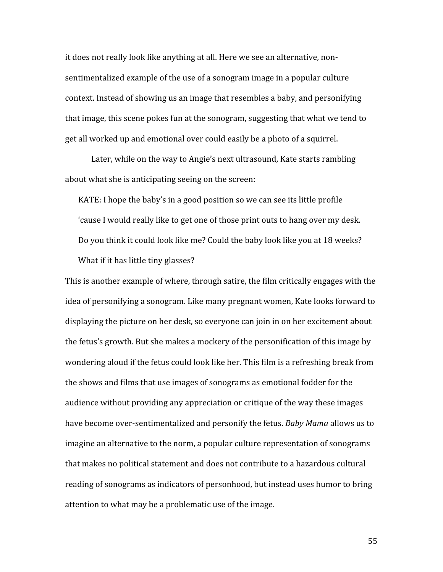it does not really look like anything at all. Here we see an alternative, non‐ sentimentalized example of the use of a sonogram image in a popular culture context. Instead of showing us an image that resembles a baby, and personifying that image, this scene pokes fun at the sonogram, suggesting that what we tend to get all worked up and emotional over could easily be a photo of a squirrel.

Later, while on the way to Angie's next ultrasound, Kate starts rambling about what she is anticipating seeing on the screen:

KATE: I hope the baby's in a good position so we can see its little profile 'cause I would really like to get one of those print outs to hang over my desk. Do you think it could look like me? Could the baby look like you at 18 weeks? What if it has little tiny glasses?

This is another example of where, through satire, the film critically engages with the idea of personifying a sonogram. Like many pregnant women, Kate looks forward to displaying the picture on her desk, so everyone can join in on her excitement about the fetus's growth. But she makes a mockery of the personification of this image by wondering aloud if the fetus could look like her. This film is a refreshing break from the shows and films that use images of sonograms as emotional fodder for the audience without providing any appreciation or critique of the way these images have become over‐sentimentalized and personify the fetus. *Baby Mama* allows us to imagine an alternative to the norm, a popular culture representation of sonograms that makes no political statement and does not contribute to a hazardous cultural reading of sonograms as indicators of personhood, but instead uses humor to bring attention to what may be a problematic use of the image.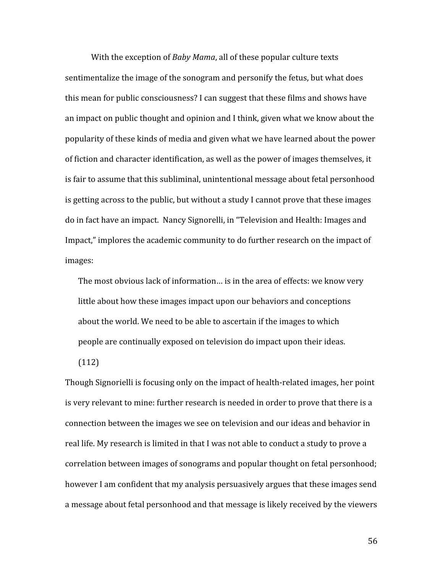With the exception of *Baby Mama*, all of these popular culture texts sentimentalize the image of the sonogram and personify the fetus, but what does this mean for public consciousness? I can suggest that these films and shows have an impact on public thought and opinion and I think, given what we know about the popularity of these kinds of media and given what we have learned about the power of fiction and character identification, as well as the power of images themselves, it is fair to assume that this subliminal, unintentional message about fetal personhood is getting across to the public, but without a study I cannot prove that these images do in fact have an impact. Nancy Signorelli, in "Television and Health: Images and Impact," implores the academic community to do further research on the impact of images:

The most obvious lack of information… is in the area of effects: we know very little about how these images impact upon our behaviors and conceptions about the world. We need to be able to ascertain if the images to which people are continually exposed on television do impact upon their ideas.

(112)

Though Signorielli is focusing only on the impact of health‐related images, her point is very relevant to mine: further research is needed in order to prove that there is a connection between the images we see on television and our ideas and behavior in real life. My research is limited in that I was not able to conduct a study to prove a correlation between images of sonograms and popular thought on fetal personhood; however I am confident that my analysis persuasively argues that these images send a message about fetal personhood and that message is likely received by the viewers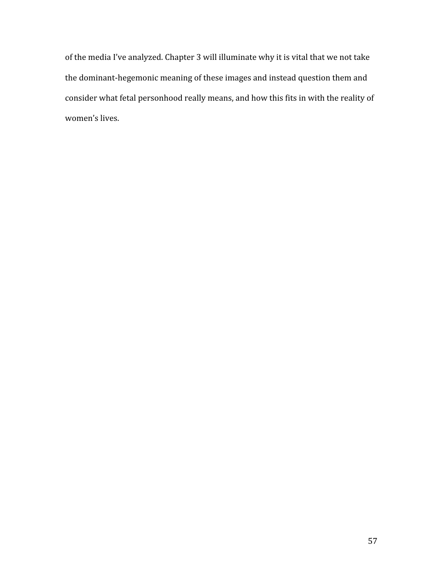of the media I've analyzed. Chapter 3 will illuminate why it is vital that we not take the dominant‐hegemonic meaning of these images and instead question them and consider what fetal personhood really means, and how this fits in with the reality of women's lives.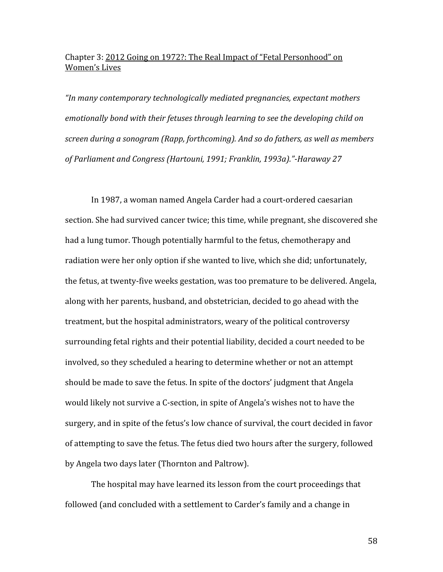## Chapter 3: 2012 Going on 1972?: The Real Impact of "Fetal Personhood" on Women's Lives

*"In many contemporary technologically mediated pregnancies, expectant mothers emotionally bond with their fetuses through learning to see the developing child on screen during a sonogram (Rapp, forthcoming). And so do fathers, as well as members of Parliament and Congress (Hartouni, 1991; Franklin, 1993a)."Haraway 27*

In 1987, a woman named Angela Carder had a court‐ordered caesarian section. She had survived cancer twice; this time, while pregnant, she discovered she had a lung tumor. Though potentially harmful to the fetus, chemotherapy and radiation were her only option if she wanted to live, which she did; unfortunately, the fetus, at twenty‐five weeks gestation, was too premature to be delivered. Angela, along with her parents, husband, and obstetrician, decided to go ahead with the treatment, but the hospital administrators, weary of the political controversy surrounding fetal rights and their potential liability, decided a court needed to be involved, so they scheduled a hearing to determine whether or not an attempt should be made to save the fetus. In spite of the doctors' judgment that Angela would likely not survive a C‐section, in spite of Angela's wishes not to have the surgery, and in spite of the fetus's low chance of survival, the court decided in favor of attempting to save the fetus. The fetus died two hours after the surgery, followed by Angela two days later (Thornton and Paltrow).

The hospital may have learned its lesson from the court proceedings that followed (and concluded with a settlement to Carder's family and a change in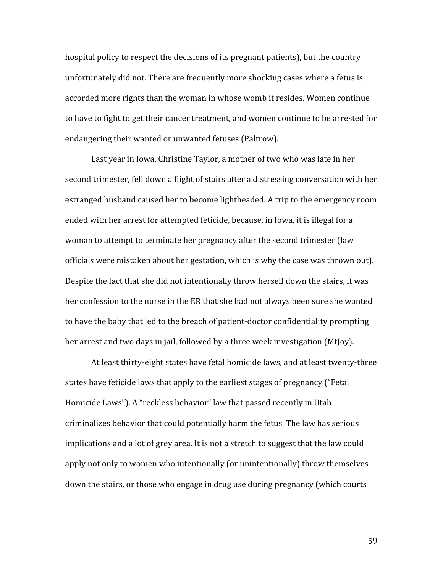hospital policy to respect the decisions of its pregnant patients), but the country unfortunately did not. There are frequently more shocking cases where a fetus is accorded more rights than the woman in whose womb it resides. Women continue to have to fight to get their cancer treatment, and women continue to be arrested for endangering their wanted or unwanted fetuses (Paltrow).

Last year in Iowa, Christine Taylor, a mother of two who was late in her second trimester, fell down a flight of stairs after a distressing conversation with her estranged husband caused her to become lightheaded. A trip to the emergency room ended with her arrest for attempted feticide, because, in Iowa, it is illegal for a woman to attempt to terminate her pregnancy after the second trimester (law officials were mistaken about her gestation, which is why the case was thrown out). Despite the fact that she did not intentionally throw herself down the stairs, it was her confession to the nurse in the ER that she had not always been sure she wanted to have the baby that led to the breach of patient‐doctor confidentiality prompting her arrest and two days in jail, followed by a three week investigation (MtJoy).

At least thirty‐eight states have fetal homicide laws, and at least twenty‐three states have feticide laws that apply to the earliest stages of pregnancy ("Fetal Homicide Laws"). A "reckless behavior" law that passed recently in Utah criminalizes behavior that could potentially harm the fetus. The law has serious implications and a lot of grey area. It is not a stretch to suggest that the law could apply not only to women who intentionally (or unintentionally) throw themselves down the stairs, or those who engage in drug use during pregnancy (which courts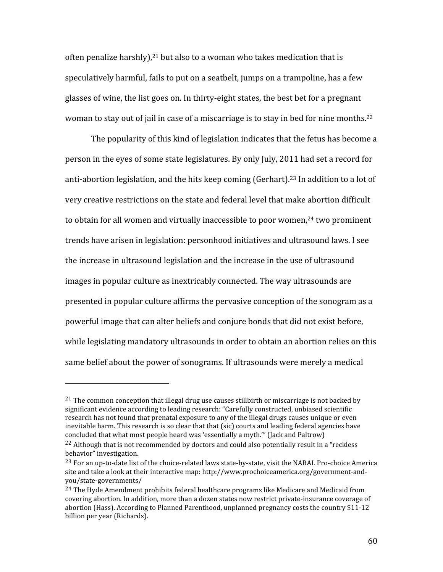often penalize harshly), $21$  but also to a woman who takes medication that is speculatively harmful, fails to put on a seatbelt, jumps on a trampoline, has a few glasses of wine, the list goes on. In thirty‐eight states, the best bet for a pregnant woman to stay out of jail in case of a miscarriage is to stay in bed for nine months.<sup>22</sup>

The popularity of this kind of legislation indicates that the fetus has become a person in the eyes of some state legislatures. By only July, 2011 had set a record for anti-abortion legislation, and the hits keep coming (Gerhart).<sup>23</sup> In addition to a lot of very creative restrictions on the state and federal level that make abortion difficult to obtain for all women and virtually inaccessible to poor women,<sup>24</sup> two prominent trends have arisen in legislation: personhood initiatives and ultrasound laws. I see the increase in ultrasound legislation and the increase in the use of ultrasound images in popular culture as inextricably connected. The way ultrasounds are presented in popular culture affirms the pervasive conception of the sonogram as a powerful image that can alter beliefs and conjure bonds that did not exist before, while legislating mandatory ultrasounds in order to obtain an abortion relies on this same belief about the power of sonograms. If ultrasounds were merely a medical

 $21$  The common conception that illegal drug use causes stillbirth or miscarriage is not backed by significant evidence according to leading research: "Carefully constructed, unbiased scientific research has not found that prenatal exposure to any of the illegal drugs causes unique or even inevitable harm. This research is so clear that that (sic) courts and leading federal agencies have concluded that what most people heard was 'essentially a myth.'" (Jack and Paltrow)

<sup>&</sup>lt;sup>22</sup> Although that is not recommended by doctors and could also potentially result in a "reckless behavior" investigation.

<sup>&</sup>lt;sup>23</sup> For an up-to-date list of the choice-related laws state-by-state, visit the NARAL Pro-choice America site and take a look at their interactive map: http://www.prochoiceamerica.org/government-andyou/state‐governments/

<sup>&</sup>lt;sup>24</sup> The Hyde Amendment prohibits federal healthcare programs like Medicare and Medicaid from covering abortion. In addition, more than a dozen states now restrict private‐insurance coverage of abortion (Hass). According to Planned Parenthood, unplanned pregnancy costs the country \$11‐12 billion per year (Richards).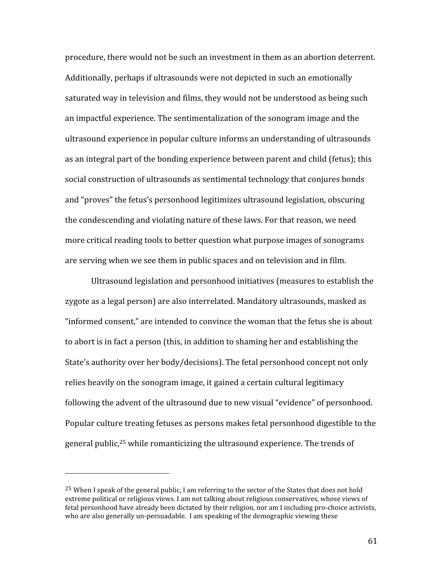procedure, there would not be such an investment in them as an abortion deterrent. Additionally, perhaps if ultrasounds were not depicted in such an emotionally saturated way in television and films, they would not be understood as being such an impactful experience. The sentimentalization of the sonogram image and the ultrasound experience in popular culture informs an understanding of ultrasounds as an integral part of the bonding experience between parent and child (fetus); this social construction of ultrasounds as sentimental technology that conjures bonds and "proves" the fetus's personhood legitimizes ultrasound legislation, obscuring the condescending and violating nature of these laws. For that reason, we need more critical reading tools to better question what purpose images of sonograms are serving when we see them in public spaces and on television and in film.

Ultrasound legislation and personhood initiatives (measures to establish the zygote as a legal person) are also interrelated. Mandatory ultrasounds, masked as "informed consent," are intended to convince the woman that the fetus she is about to abort is in fact a person (this, in addition to shaming her and establishing the State's authority over her body/decisions). The fetal personhood concept not only relies heavily on the sonogram image, it gained a certain cultural legitimacy following the advent of the ultrasound due to new visual "evidence" of personhood. Popular culture treating fetuses as persons makes fetal personhood digestible to the general public, <sup>25</sup> while romanticizing the ultrasound experience. The trends of

<sup>&</sup>lt;sup>25</sup> When I speak of the general public, I am referring to the sector of the States that does not hold extreme political or religious views. I am not talking about religious conservatives, whose views of fetal personhood have already been dictated by their religion, nor am I including pro‐choice activists, who are also generally un-persuadable. I am speaking of the demographic viewing these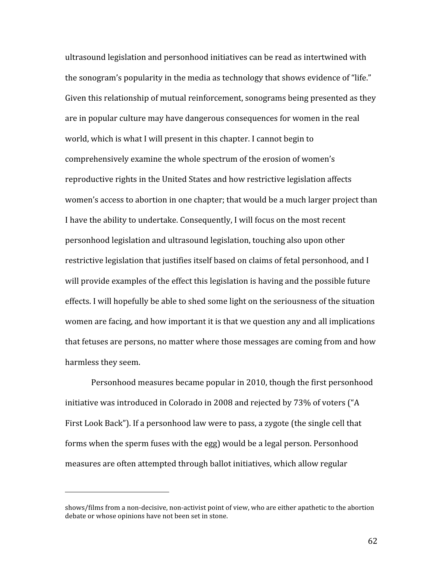ultrasound legislation and personhood initiatives can be read as intertwined with the sonogram's popularity in the media as technology that shows evidence of "life." Given this relationship of mutual reinforcement, sonograms being presented as they are in popular culture may have dangerous consequences for women in the real world, which is what I will present in this chapter. I cannot begin to comprehensively examine the whole spectrum of the erosion of women's reproductive rights in the United States and how restrictive legislation affects women's access to abortion in one chapter; that would be a much larger project than I have the ability to undertake. Consequently, I will focus on the most recent personhood legislation and ultrasound legislation, touching also upon other restrictive legislation that justifies itself based on claims of fetal personhood, and I will provide examples of the effect this legislation is having and the possible future effects. I will hopefully be able to shed some light on the seriousness of the situation women are facing, and how important it is that we question any and all implications that fetuses are persons, no matter where those messages are coming from and how harmless they seem.

Personhood measures became popular in 2010, though the first personhood initiative was introduced in Colorado in 2008 and rejected by 73% of voters ("A First Look Back"). If a personhood law were to pass, a zygote (the single cell that forms when the sperm fuses with the egg) would be a legal person. Personhood measures are often attempted through ballot initiatives, which allow regular

shows/films from a non-decisive, non-activist point of view, who are either apathetic to the abortion debate or whose opinions have not been set in stone.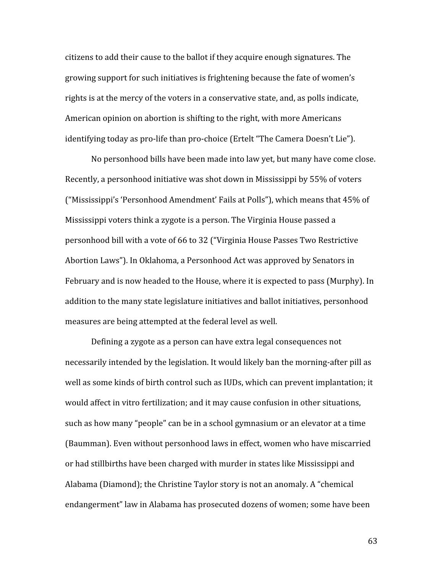citizens to add their cause to the ballot if they acquire enough signatures. The growing support for such initiatives is frightening because the fate of women's rights is at the mercy of the voters in a conservative state, and, as polls indicate, American opinion on abortion is shifting to the right, with more Americans identifying today as pro‐life than pro‐choice (Ertelt "The Camera Doesn't Lie").

No personhood bills have been made into law yet, but many have come close. Recently, a personhood initiative was shot down in Mississippi by 55% of voters ("Mississippi's 'Personhood Amendment' Fails at Polls"), which means that 45% of Mississippi voters think a zygote is a person. The Virginia House passed a personhood bill with a vote of 66 to 32 ("Virginia House Passes Two Restrictive Abortion Laws"). In Oklahoma, a Personhood Act was approved by Senators in February and is now headed to the House, where it is expected to pass (Murphy). In addition to the many state legislature initiatives and ballot initiatives, personhood measures are being attempted at the federal level as well.

Defining a zygote as a person can have extra legal consequences not necessarily intended by the legislation. It would likely ban the morning-after pill as well as some kinds of birth control such as IUDs, which can prevent implantation; it would affect in vitro fertilization; and it may cause confusion in other situations, such as how many "people" can be in a school gymnasium or an elevator at a time (Baumman). Even without personhood laws in effect, women who have miscarried or had stillbirths have been charged with murder in states like Mississippi and Alabama (Diamond); the Christine Taylor story is not an anomaly. A "chemical endangerment" law in Alabama has prosecuted dozens of women; some have been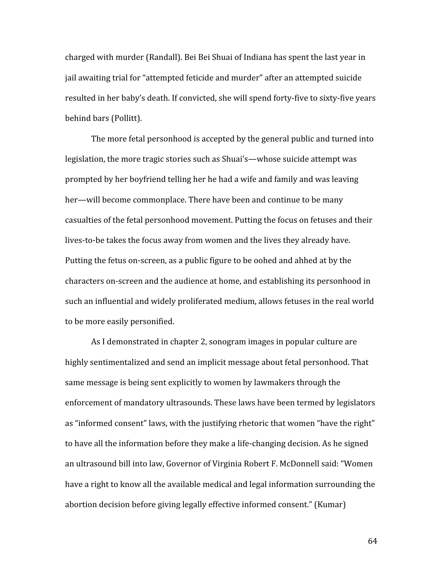charged with murder (Randall). Bei Bei Shuai of Indiana has spent the last year in jail awaiting trial for "attempted feticide and murder" after an attempted suicide resulted in her baby's death. If convicted, she will spend forty‐five to sixty‐five years behind bars (Pollitt).

The more fetal personhood is accepted by the general public and turned into legislation, the more tragic stories such as Shuai's—whose suicide attempt was prompted by her boyfriend telling her he had a wife and family and was leaving her—will become commonplace. There have been and continue to be many casualties of the fetal personhood movement. Putting the focus on fetuses and their lives‐to‐be takes the focus away from women and the lives they already have. Putting the fetus on‐screen, as a public figure to be oohed and ahhed at by the characters on‐screen and the audience at home, and establishing its personhood in such an influential and widely proliferated medium, allows fetuses in the real world to be more easily personified.

As I demonstrated in chapter 2, sonogram images in popular culture are highly sentimentalized and send an implicit message about fetal personhood. That same message is being sent explicitly to women by lawmakers through the enforcement of mandatory ultrasounds. These laws have been termed by legislators as "informed consent" laws, with the justifying rhetoric that women "have the right" to have all the information before they make a life‐changing decision. As he signed an ultrasound bill into law, Governor of Virginia Robert F. McDonnell said: "Women have a right to know all the available medical and legal information surrounding the abortion decision before giving legally effective informed consent." (Kumar)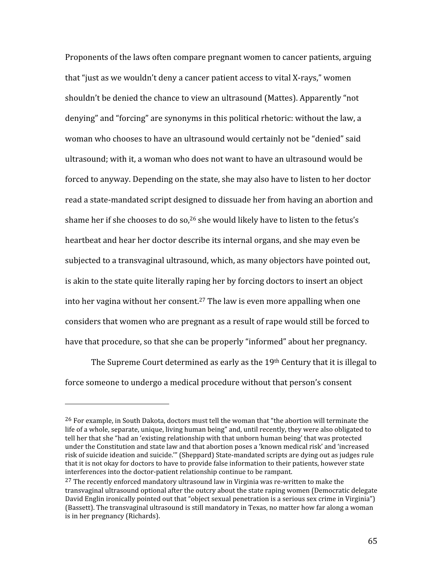Proponents of the laws often compare pregnant women to cancer patients, arguing that "just as we wouldn't deny a cancer patient access to vital X‐rays," women shouldn't be denied the chance to view an ultrasound (Mattes). Apparently "not denying" and "forcing" are synonyms in this political rhetoric: without the law, a woman who chooses to have an ultrasound would certainly not be "denied" said ultrasound; with it, a woman who does not want to have an ultrasound would be forced to anyway. Depending on the state, she may also have to listen to her doctor read a state‐mandated script designed to dissuade her from having an abortion and shame her if she chooses to do so,  $26$  she would likely have to listen to the fetus's heartbeat and hear her doctor describe its internal organs, and she may even be subjected to a transvaginal ultrasound, which, as many objectors have pointed out, is akin to the state quite literally raping her by forcing doctors to insert an object into her vagina without her consent.<sup>27</sup> The law is even more appalling when one considers that women who are pregnant as a result of rape would still be forced to have that procedure, so that she can be properly "informed" about her pregnancy.

The Supreme Court determined as early as the 19<sup>th</sup> Century that it is illegal to force someone to undergo a medical procedure without that person's consent

 $26$  For example, in South Dakota, doctors must tell the woman that "the abortion will terminate the life of a whole, separate, unique, living human being" and, until recently, they were also obligated to tell her that she "had an 'existing relationship with that unborn human being' that was protected under the Constitution and state law and that abortion poses a 'known medical risk' and 'increased risk of suicide ideation and suicide.'" (Sheppard) State‐mandated scripts are dying out as judges rule that it is not okay for doctors to have to provide false information to their patients, however state interferences into the doctor‐patient relationship continue to be rampant.

<sup>&</sup>lt;sup>27</sup> The recently enforced mandatory ultrasound law in Virginia was re-written to make the transvaginal ultrasound optional after the outcry about the state raping women (Democratic delegate David Englin ironically pointed out that "object sexual penetration is a serious sex crime in Virginia") (Bassett). The transvaginal ultrasound is still mandatory in Texas, no matter how far along a woman is in her pregnancy (Richards).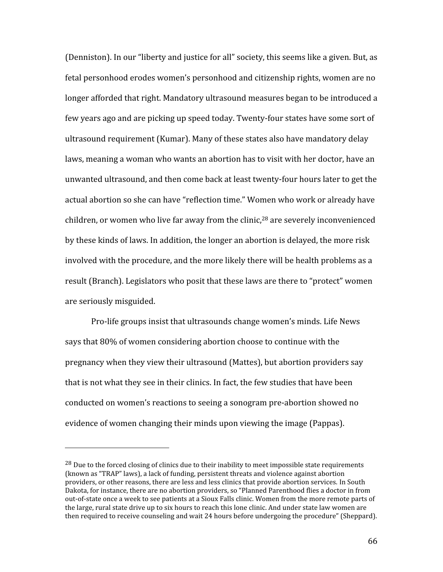(Denniston). In our "liberty and justice for all" society, this seems like a given. But, as fetal personhood erodes women's personhood and citizenship rights, women are no longer afforded that right. Mandatory ultrasound measures began to be introduced a few years ago and are picking up speed today. Twenty‐four states have some sort of ultrasound requirement (Kumar). Many of these states also have mandatory delay laws, meaning a woman who wants an abortion has to visit with her doctor, have an unwanted ultrasound, and then come back at least twenty‐four hours later to get the actual abortion so she can have "reflection time." Women who work or already have children, or women who live far away from the clinic,  $28$  are severely inconvenienced by these kinds of laws. In addition, the longer an abortion is delayed, the more risk involved with the procedure, and the more likely there will be health problems as a result (Branch). Legislators who posit that these laws are there to "protect" women are seriously misguided.

Pro‐life groups insist that ultrasounds change women's minds. Life News says that 80% of women considering abortion choose to continue with the pregnancy when they view their ultrasound (Mattes), but abortion providers say that is not what they see in their clinics. In fact, the few studies that have been conducted on women's reactions to seeing a sonogram pre‐abortion showed no evidence of women changing their minds upon viewing the image (Pappas).

<sup>&</sup>lt;sup>28</sup> Due to the forced closing of clinics due to their inability to meet impossible state requirements (known as "TRAP" laws), a lack of funding, persistent threats and violence against abortion providers, or other reasons, there are less and less clinics that provide abortion services. In South Dakota, for instance, there are no abortion providers, so "Planned Parenthood flies a doctor in from out‐of‐state once a week to see patients at a Sioux Falls clinic. Women from the more remote parts of the large, rural state drive up to six hours to reach this lone clinic. And under state law women are then required to receive counseling and wait 24 hours before undergoing the procedure" (Sheppard).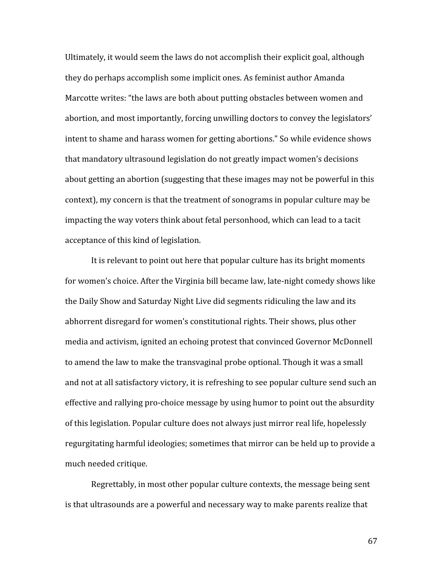Ultimately, it would seem the laws do not accomplish their explicit goal, although they do perhaps accomplish some implicit ones. As feminist author Amanda Marcotte writes: "the laws are both about putting obstacles between women and abortion, and most importantly, forcing unwilling doctors to convey the legislators' intent to shame and harass women for getting abortions." So while evidence shows that mandatory ultrasound legislation do not greatly impact women's decisions about getting an abortion (suggesting that these images may not be powerful in this context), my concern is that the treatment of sonograms in popular culture may be impacting the way voters think about fetal personhood, which can lead to a tacit acceptance of this kind of legislation.

It is relevant to point out here that popular culture has its bright moments for women's choice. After the Virginia bill became law, late-night comedy shows like the Daily Show and Saturday Night Live did segments ridiculing the law and its abhorrent disregard for women's constitutional rights. Their shows, plus other media and activism, ignited an echoing protest that convinced Governor McDonnell to amend the law to make the transvaginal probe optional. Though it was a small and not at all satisfactory victory, it is refreshing to see popular culture send such an effective and rallying pro‐choice message by using humor to point out the absurdity of this legislation. Popular culture does not always just mirror real life, hopelessly regurgitating harmful ideologies; sometimes that mirror can be held up to provide a much needed critique.

Regrettably, in most other popular culture contexts, the message being sent is that ultrasounds are a powerful and necessary way to make parents realize that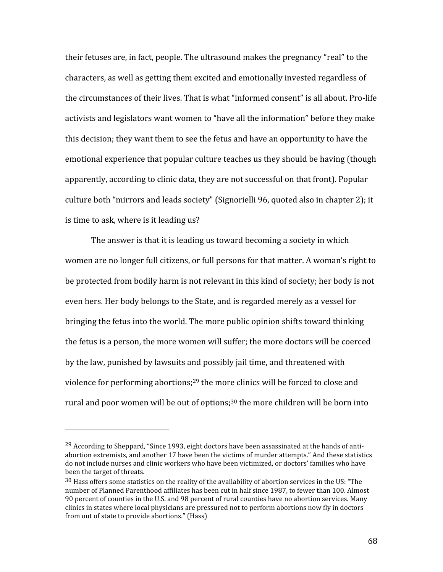their fetuses are, in fact, people. The ultrasound makes the pregnancy "real" to the characters, as well as getting them excited and emotionally invested regardless of the circumstances of their lives. That is what "informed consent" is all about. Pro‐life activists and legislators want women to "have all the information" before they make this decision; they want them to see the fetus and have an opportunity to have the emotional experience that popular culture teaches us they should be having (though apparently, according to clinic data, they are not successful on that front). Popular culture both "mirrors and leads society" (Signorielli 96, quoted also in chapter 2); it is time to ask, where is it leading us?

The answer is that it is leading us toward becoming a society in which women are no longer full citizens, or full persons for that matter. A woman's right to be protected from bodily harm is not relevant in this kind of society; her body is not even hers. Her body belongs to the State, and is regarded merely as a vessel for bringing the fetus into the world. The more public opinion shifts toward thinking the fetus is a person, the more women will suffer; the more doctors will be coerced by the law, punished by lawsuits and possibly jail time, and threatened with violence for performing abortions; $^{29}$  the more clinics will be forced to close and rural and poor women will be out of options;<sup>30</sup> the more children will be born into

 $^{29}$  According to Sheppard, "Since 1993, eight doctors have been assassinated at the hands of antiabortion extremists, and another 17 have been the victims of murder attempts." And these statistics do not include nurses and clinic workers who have been victimized, or doctors' families who have been the target of threats.

<sup>30</sup> Hass offers some statistics on the reality of the availability of abortion services in the US: "The number of Planned Parenthood affiliates has been cut in half since 1987, to fewer than 100. Almost 90 percent of counties in the U.S. and 98 percent of rural counties have no abortion services. Many clinics in states where local physicians are pressured not to perform abortions now fly in doctors from out of state to provide abortions." (Hass)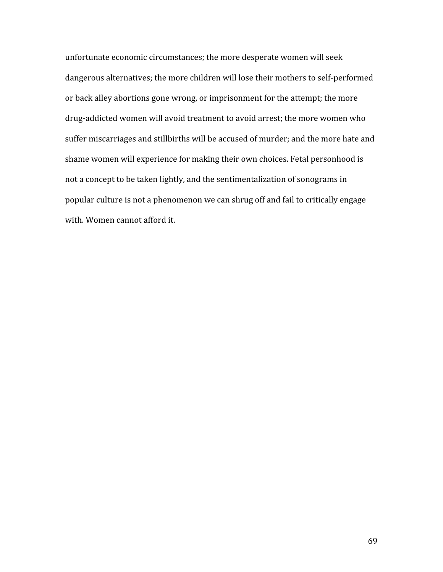unfortunate economic circumstances; the more desperate women will seek dangerous alternatives; the more children will lose their mothers to self-performed or back alley abortions gone wrong, or imprisonment for the attempt; the more drug‐addicted women will avoid treatment to avoid arrest; the more women who suffer miscarriages and stillbirths will be accused of murder; and the more hate and shame women will experience for making their own choices. Fetal personhood is not a concept to be taken lightly, and the sentimentalization of sonograms in popular culture is not a phenomenon we can shrug off and fail to critically engage with. Women cannot afford it.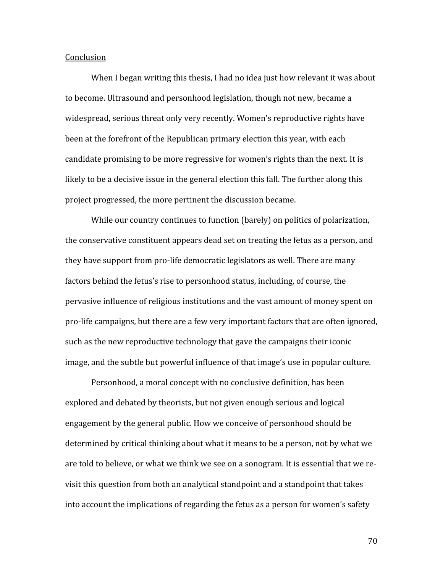## Conclusion

When I began writing this thesis, I had no idea just how relevant it was about to become. Ultrasound and personhood legislation, though not new, became a widespread, serious threat only very recently. Women's reproductive rights have been at the forefront of the Republican primary election this year, with each candidate promising to be more regressive for women's rights than the next. It is likely to be a decisive issue in the general election this fall. The further along this project progressed, the more pertinent the discussion became.

While our country continues to function (barely) on politics of polarization, the conservative constituent appears dead set on treating the fetus as a person, and they have support from pro‐life democratic legislators as well. There are many factors behind the fetus's rise to personhood status, including, of course, the pervasive influence of religious institutions and the vast amount of money spent on pro‐life campaigns, but there are a few very important factors that are often ignored, such as the new reproductive technology that gave the campaigns their iconic image, and the subtle but powerful influence of that image's use in popular culture.

Personhood, a moral concept with no conclusive definition, has been explored and debated by theorists, but not given enough serious and logical engagement by the general public. How we conceive of personhood should be determined by critical thinking about what it means to be a person, not by what we are told to believe, or what we think we see on a sonogram. It is essential that we re‐ visit this question from both an analytical standpoint and a standpoint that takes into account the implications of regarding the fetus as a person for women's safety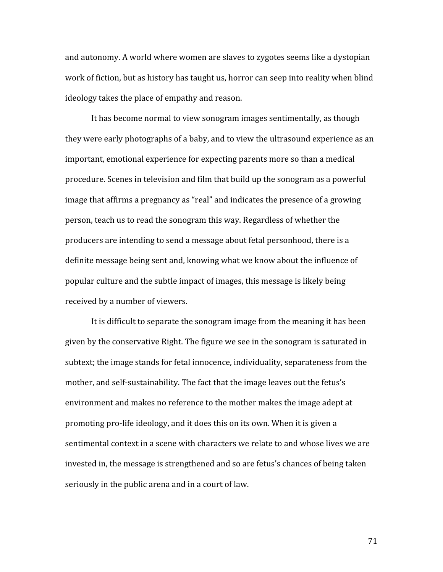and autonomy. A world where women are slaves to zygotes seems like a dystopian work of fiction, but as history has taught us, horror can seep into reality when blind ideology takes the place of empathy and reason.

It has become normal to view sonogram images sentimentally, as though they were early photographs of a baby, and to view the ultrasound experience as an important, emotional experience for expecting parents more so than a medical procedure. Scenes in television and film that build up the sonogram as a powerful image that affirms a pregnancy as "real" and indicates the presence of a growing person, teach us to read the sonogram this way. Regardless of whether the producers are intending to send a message about fetal personhood, there is a definite message being sent and, knowing what we know about the influence of popular culture and the subtle impact of images, this message is likely being received by a number of viewers.

It is difficult to separate the sonogram image from the meaning it has been given by the conservative Right. The figure we see in the sonogram is saturated in subtext; the image stands for fetal innocence, individuality, separateness from the mother, and self‐sustainability. The fact that the image leaves out the fetus's environment and makes no reference to the mother makes the image adept at promoting pro‐life ideology, and it does this on its own. When it is given a sentimental context in a scene with characters we relate to and whose lives we are invested in, the message is strengthened and so are fetus's chances of being taken seriously in the public arena and in a court of law.

71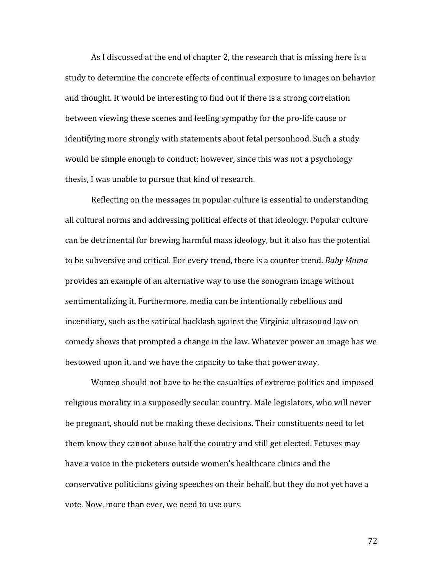As I discussed at the end of chapter 2, the research that is missing here is a study to determine the concrete effects of continual exposure to images on behavior and thought. It would be interesting to find out if there is a strong correlation between viewing these scenes and feeling sympathy for the pro‐life cause or identifying more strongly with statements about fetal personhood. Such a study would be simple enough to conduct; however, since this was not a psychology thesis, I was unable to pursue that kind of research.

Reflecting on the messages in popular culture is essential to understanding all cultural norms and addressing political effects of that ideology. Popular culture can be detrimental for brewing harmful mass ideology, but it also has the potential to be subversive and critical. For every trend, there is a counter trend. *Baby Mama* provides an example of an alternative way to use the sonogram image without sentimentalizing it. Furthermore, media can be intentionally rebellious and incendiary, such as the satirical backlash against the Virginia ultrasound law on comedy shows that prompted a change in the law. Whatever power an image has we bestowed upon it, and we have the capacity to take that power away.

Women should not have to be the casualties of extreme politics and imposed religious morality in a supposedly secular country. Male legislators, who will never be pregnant, should not be making these decisions. Their constituents need to let them know they cannot abuse half the country and still get elected. Fetuses may have a voice in the picketers outside women's healthcare clinics and the conservative politicians giving speeches on their behalf, but they do not yet have a vote. Now, more than ever, we need to use ours.

72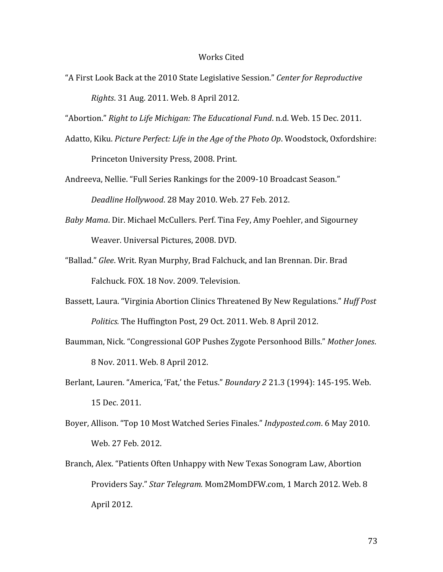## Works Cited

"A First Look Back at the 2010 State Legislative Session." *Center for Reproductive Rights*. 31 Aug. 2011. Web. 8 April 2012.

"Abortion." *Right to Life Michigan: The Educational Fund*. n.d. Web. 15 Dec. 2011.

Adatto, Kiku. *Picture Perfect: Life in the Age of the Photo Op*. Woodstock, Oxfordshire:

Princeton University Press, 2008. Print.

Andreeva, Nellie. "Full Series Rankings for the 2009‐10 Broadcast Season."

*Deadline Hollywood*. 28 May 2010. Web. 27 Feb. 2012.

- *Baby Mama*. Dir. Michael McCullers. Perf. Tina Fey, Amy Poehler, and Sigourney Weaver. Universal Pictures, 2008. DVD.
- "Ballad." *Glee*. Writ. Ryan Murphy, Brad Falchuck, and Ian Brennan. Dir. Brad Falchuck. FOX. 18 Nov. 2009. Television.
- Bassett, Laura. "Virginia Abortion Clinics Threatened By New Regulations." *Huff Post Politics.* The Huffington Post, 29 Oct. 2011. Web. 8 April 2012.
- Baumman, Nick. "Congressional GOP Pushes Zygote Personhood Bills." *Mother Jones*. 8 Nov. 2011. Web. 8 April 2012.
- Berlant, Lauren. "America, 'Fat,' the Fetus." *Boundary 2* 21.3 (1994): 145‐195. Web. 15 Dec. 2011.
- Boyer, Allison. "Top 10 Most Watched Series Finales." *Indyposted.com*. 6 May 2010. Web. 27 Feb. 2012.
- Branch, Alex. "Patients Often Unhappy with New Texas Sonogram Law, Abortion Providers Say." *Star Telegram.* Mom2MomDFW.com, 1 March 2012. Web. 8 April 2012.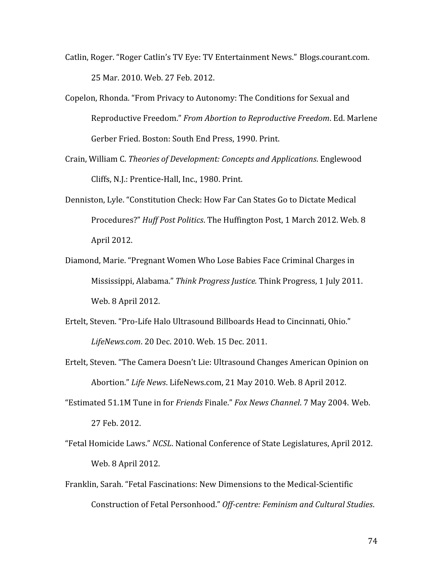- Catlin, Roger. "Roger Catlin's TV Eye: TV Entertainment News." Blogs.courant.com. 25 Mar. 2010. Web. 27 Feb. 2012.
- Copelon, Rhonda. "From Privacy to Autonomy: The Conditions for Sexual and Reproductive Freedom." *From Abortion to Reproductive Freedom*. Ed. Marlene Gerber Fried. Boston: South End Press, 1990. Print.
- Crain, William C. *Theories of Development: Concepts and Applications*. Englewood Cliffs, N.J.: Prentice‐Hall, Inc., 1980. Print.
- Denniston, Lyle. "Constitution Check: How Far Can States Go to Dictate Medical Procedures?" *Huff Post Politics*. The Huffington Post, 1 March 2012. Web. 8 April 2012.
- Diamond, Marie. "Pregnant Women Who Lose Babies Face Criminal Charges in Mississippi, Alabama." *Think Progress Justice.* Think Progress, 1 July 2011. Web. 8 April 2012.
- Ertelt, Steven. "Pro‐Life Halo Ultrasound Billboards Head to Cincinnati, Ohio." *LifeNews.com*. 20 Dec. 2010. Web. 15 Dec. 2011.
- Ertelt, Steven. "The Camera Doesn't Lie: Ultrasound Changes American Opinion on Abortion." *Life News*. LifeNews.com, 21 May 2010. Web. 8 April 2012.
- "Estimated 51.1M Tune in for *Friends* Finale." *Fox News Channel*. 7 May 2004. Web. 27 Feb. 2012.
- "Fetal Homicide Laws." *NCSL*. National Conference of State Legislatures, April 2012. Web. 8 April 2012.
- Franklin, Sarah. "Fetal Fascinations: New Dimensions to the Medical‐Scientific Construction of Fetal Personhood." Off-centre: Feminism and Cultural Studies.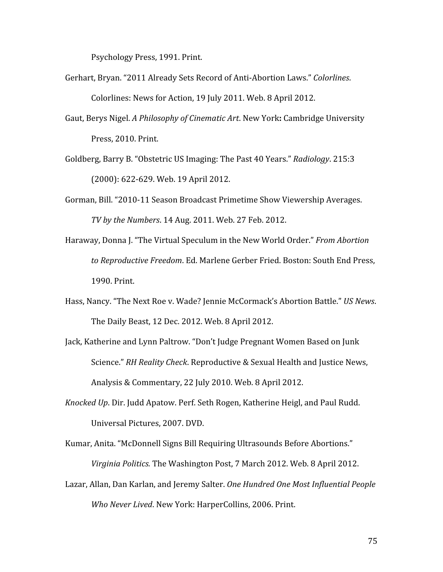Psychology Press, 1991. Print.

- Gerhart, Bryan. "2011 Already Sets Record of Anti‐Abortion Laws." *Colorlines*. Colorlines: News for Action, 19 July 2011. Web. 8 April 2012.
- Gaut, Berys Nigel. *A Philosophy of Cinematic Art*. New York**:** Cambridge University Press, 2010. Print.
- Goldberg, Barry B. "Obstetric US Imaging: The Past 40 Years." *Radiology*. 215:3 (2000): 622‐629. Web. 19 April 2012.
- Gorman, Bill. "2010‐11 Season Broadcast Primetime Show Viewership Averages. *TV by the Numbers*. 14 Aug. 2011. Web. 27 Feb. 2012.
- Haraway, Donna J. "The Virtual Speculum in the New World Order." *From Abortion to Reproductive Freedom*. Ed. Marlene Gerber Fried. Boston: South End Press, 1990. Print.
- Hass, Nancy. "The Next Roe v. Wade? Jennie McCormack's Abortion Battle." *US News*. The Daily Beast, 12 Dec. 2012. Web. 8 April 2012.
- Jack, Katherine and Lynn Paltrow. "Don't Judge Pregnant Women Based on Junk Science." *RH Reality Check*. Reproductive & Sexual Health and Justice News, Analysis & Commentary, 22 July 2010. Web. 8 April 2012.
- *Knocked Up*. Dir. Judd Apatow. Perf. Seth Rogen, Katherine Heigl, and Paul Rudd. Universal Pictures, 2007. DVD.

Kumar, Anita. "McDonnell Signs Bill Requiring Ultrasounds Before Abortions." *Virginia Politics.* The Washington Post, 7 March 2012. Web. 8 April 2012.

Lazar, Allan, Dan Karlan, and Jeremy Salter. *One Hundred One Most Influential People Who Never Lived*. New York: HarperCollins, 2006. Print.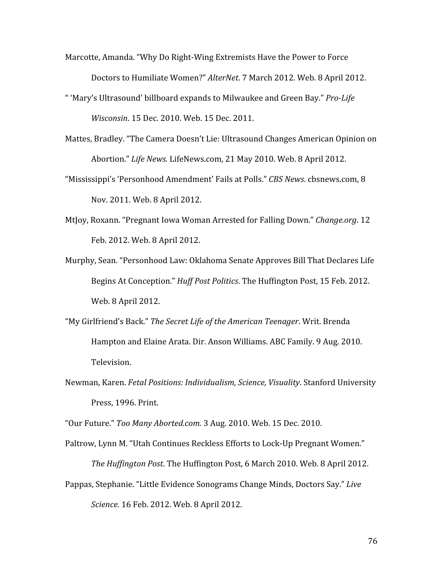Marcotte, Amanda. "Why Do Right‐Wing Extremists Have the Power to Force Doctors to Humiliate Women?" *AlterNet*. 7 March 2012. Web. 8 April 2012.

" 'Mary's Ultrasound' billboard expands to Milwaukee and Green Bay." *ProLife* 

*Wisconsin*. 15 Dec. 2010. Web. 15 Dec. 2011.

- Mattes, Bradley. "The Camera Doesn't Lie: Ultrasound Changes American Opinion on Abortion." *Life News.* LifeNews.com, 21 May 2010. Web. 8 April 2012.
- "Mississippi's 'Personhood Amendment' Fails at Polls." *CBS News*. cbsnews.com, 8 Nov. 2011. Web. 8 April 2012.
- MtJoy, Roxann. "Pregnant Iowa Woman Arrested for Falling Down." *Change.org*. 12 Feb. 2012. Web. 8 April 2012.
- Murphy, Sean. "Personhood Law: Oklahoma Senate Approves Bill That Declares Life Begins At Conception." *Huff Post Politics*. The Huffington Post, 15 Feb. 2012. Web. 8 April 2012.
- "My Girlfriend's Back." *The Secret Life of the American Teenager*. Writ. Brenda Hampton and Elaine Arata. Dir. Anson Williams. ABC Family. 9 Aug. 2010. Television.
- Newman, Karen. *Fetal Positions: Individualism, Science, Visuality*. Stanford University Press, 1996. Print.

"Our Future." *Too Many Aborted.com.* 3 Aug. 2010. Web. 15 Dec. 2010.

Paltrow, Lynn M. "Utah Continues Reckless Efforts to Lock‐Up Pregnant Women." *The Huffington Post*. The Huffington Post, 6 March 2010. Web. 8 April 2012.

Pappas, Stephanie. "Little Evidence Sonograms Change Minds, Doctors Say." *Live Science.* 16 Feb. 2012. Web. 8 April 2012.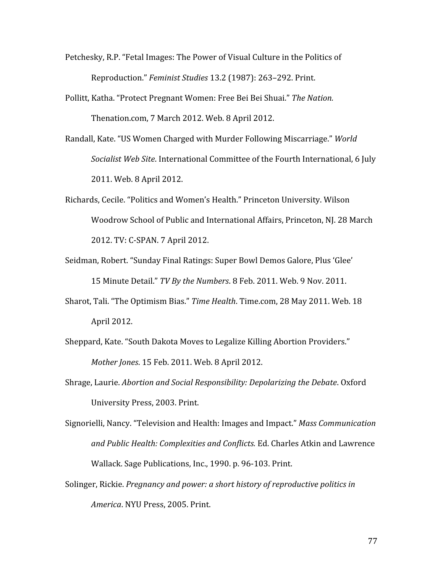- Petchesky, R.P. "Fetal Images: The Power of Visual Culture in the Politics of Reproduction." *Feminist Studies* 13.2 (1987): 263–292. Print.
- Pollitt, Katha. "Protect Pregnant Women: Free Bei Bei Shuai." *The Nation.* Thenation.com, 7 March 2012. Web. 8 April 2012.
- Randall, Kate. "US Women Charged with Murder Following Miscarriage." *World Socialist Web Site*. International Committee of the Fourth International, 6 July 2011. Web. 8 April 2012.
- Richards, Cecile. "Politics and Women's Health." Princeton University. Wilson Woodrow School of Public and International Affairs, Princeton, NJ. 28 March 2012. TV: C‐SPAN. 7 April 2012.
- Seidman, Robert. "Sunday Final Ratings: Super Bowl Demos Galore, Plus 'Glee' 15 Minute Detail." *TV By the Numbers*. 8 Feb. 2011. Web. 9 Nov. 2011.
- Sharot, Tali. "The Optimism Bias." *Time Health*. Time.com, 28 May 2011. Web. 18 April 2012.
- Sheppard, Kate. "South Dakota Moves to Legalize Killing Abortion Providers." *Mother Jones*. 15 Feb. 2011. Web. 8 April 2012.
- Shrage, Laurie. *Abortion and Social Responsibility: Depolarizing the Debate*. Oxford University Press, 2003. Print.
- Signorielli, Nancy. "Television and Health: Images and Impact." *Mass Communication and Public Health: Complexities and Conflicts.* Ed. Charles Atkin and Lawrence Wallack. Sage Publications, Inc., 1990. p. 96‐103. Print.
- Solinger, Rickie. *Pregnancy and power: a short history of reproductive politics in America*. NYU Press, 2005. Print.